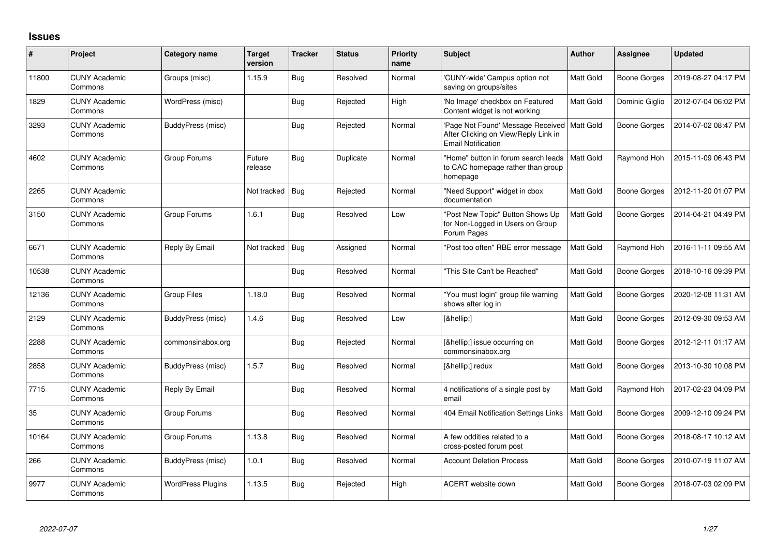## **Issues**

| #     | Project                         | Category name            | Target<br>version | <b>Tracker</b> | <b>Status</b> | <b>Priority</b><br>name | <b>Subject</b>                                                                                                     | Author           | <b>Assignee</b>     | <b>Updated</b>      |
|-------|---------------------------------|--------------------------|-------------------|----------------|---------------|-------------------------|--------------------------------------------------------------------------------------------------------------------|------------------|---------------------|---------------------|
| 11800 | <b>CUNY Academic</b><br>Commons | Groups (misc)            | 1.15.9            | <b>Bug</b>     | Resolved      | Normal                  | 'CUNY-wide' Campus option not<br>saving on groups/sites                                                            | Matt Gold        | <b>Boone Gorges</b> | 2019-08-27 04:17 PM |
| 1829  | <b>CUNY Academic</b><br>Commons | WordPress (misc)         |                   | Bug            | Rejected      | High                    | 'No Image' checkbox on Featured<br>Content widget is not working                                                   | Matt Gold        | Dominic Giglio      | 2012-07-04 06:02 PM |
| 3293  | <b>CUNY Academic</b><br>Commons | BuddyPress (misc)        |                   | <b>Bug</b>     | Rejected      | Normal                  | 'Page Not Found' Message Received   Matt Gold<br>After Clicking on View/Reply Link in<br><b>Email Notification</b> |                  | <b>Boone Gorges</b> | 2014-07-02 08:47 PM |
| 4602  | <b>CUNY Academic</b><br>Commons | Group Forums             | Future<br>release | <b>Bug</b>     | Duplicate     | Normal                  | "Home" button in forum search leads<br>to CAC homepage rather than group<br>homepage                               | Matt Gold        | Raymond Hoh         | 2015-11-09 06:43 PM |
| 2265  | <b>CUNY Academic</b><br>Commons |                          | Not tracked       | Bug            | Rejected      | Normal                  | "Need Support" widget in cbox<br>documentation                                                                     | Matt Gold        | <b>Boone Gorges</b> | 2012-11-20 01:07 PM |
| 3150  | <b>CUNY Academic</b><br>Commons | Group Forums             | 1.6.1             | Bug            | Resolved      | Low                     | "Post New Topic" Button Shows Up<br>for Non-Logged in Users on Group<br>Forum Pages                                | Matt Gold        | <b>Boone Gorges</b> | 2014-04-21 04:49 PM |
| 6671  | <b>CUNY Academic</b><br>Commons | Reply By Email           | Not tracked       | Bug            | Assigned      | Normal                  | "Post too often" RBE error message                                                                                 | Matt Gold        | Raymond Hoh         | 2016-11-11 09:55 AM |
| 10538 | <b>CUNY Academic</b><br>Commons |                          |                   | Bug            | Resolved      | Normal                  | "This Site Can't be Reached"                                                                                       | <b>Matt Gold</b> | <b>Boone Gorges</b> | 2018-10-16 09:39 PM |
| 12136 | <b>CUNY Academic</b><br>Commons | Group Files              | 1.18.0            | Bug            | Resolved      | Normal                  | "You must login" group file warning<br>shows after log in                                                          | Matt Gold        | <b>Boone Gorges</b> | 2020-12-08 11:31 AM |
| 2129  | <b>CUNY Academic</b><br>Commons | BuddyPress (misc)        | 1.4.6             | Bug            | Resolved      | Low                     | […]                                                                                                                | Matt Gold        | <b>Boone Gorges</b> | 2012-09-30 09:53 AM |
| 2288  | <b>CUNY Academic</b><br>Commons | commonsinabox.org        |                   | Bug            | Rejected      | Normal                  | […] issue occurring on<br>commonsinabox.org                                                                        | Matt Gold        | <b>Boone Gorges</b> | 2012-12-11 01:17 AM |
| 2858  | <b>CUNY Academic</b><br>Commons | BuddyPress (misc)        | 1.5.7             | Bug            | Resolved      | Normal                  | […] redux                                                                                                          | Matt Gold        | <b>Boone Gorges</b> | 2013-10-30 10:08 PM |
| 7715  | <b>CUNY Academic</b><br>Commons | Reply By Email           |                   | Bug            | Resolved      | Normal                  | 4 notifications of a single post by<br>email                                                                       | Matt Gold        | Raymond Hoh         | 2017-02-23 04:09 PM |
| 35    | <b>CUNY Academic</b><br>Commons | Group Forums             |                   | Bug            | Resolved      | Normal                  | 404 Email Notification Settings Links                                                                              | Matt Gold        | <b>Boone Gorges</b> | 2009-12-10 09:24 PM |
| 10164 | <b>CUNY Academic</b><br>Commons | Group Forums             | 1.13.8            | Bug            | Resolved      | Normal                  | A few oddities related to a<br>cross-posted forum post                                                             | Matt Gold        | <b>Boone Gorges</b> | 2018-08-17 10:12 AM |
| 266   | <b>CUNY Academic</b><br>Commons | BuddyPress (misc)        | 1.0.1             | <b>Bug</b>     | Resolved      | Normal                  | <b>Account Deletion Process</b>                                                                                    | Matt Gold        | <b>Boone Gorges</b> | 2010-07-19 11:07 AM |
| 9977  | <b>CUNY Academic</b><br>Commons | <b>WordPress Plugins</b> | 1.13.5            | Bug            | Rejected      | High                    | ACERT website down                                                                                                 | Matt Gold        | Boone Gorges        | 2018-07-03 02:09 PM |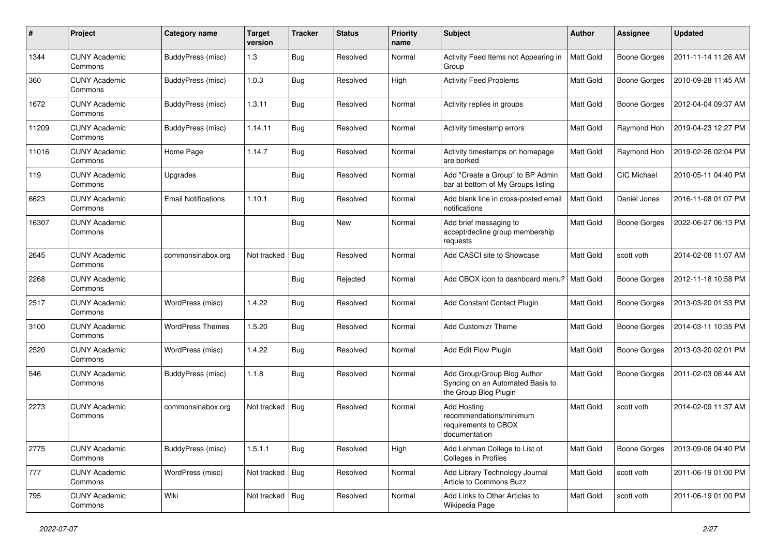| #     | Project                         | Category name              | <b>Target</b><br>version | <b>Tracker</b> | <b>Status</b> | <b>Priority</b><br>name | Subject                                                                                  | Author           | Assignee            | <b>Updated</b>      |
|-------|---------------------------------|----------------------------|--------------------------|----------------|---------------|-------------------------|------------------------------------------------------------------------------------------|------------------|---------------------|---------------------|
| 1344  | <b>CUNY Academic</b><br>Commons | <b>BuddyPress</b> (misc)   | 1.3                      | Bug            | Resolved      | Normal                  | Activity Feed Items not Appearing in<br>Group                                            | Matt Gold        | <b>Boone Gorges</b> | 2011-11-14 11:26 AM |
| 360   | <b>CUNY Academic</b><br>Commons | BuddyPress (misc)          | 1.0.3                    | Bug            | Resolved      | High                    | <b>Activity Feed Problems</b>                                                            | Matt Gold        | <b>Boone Gorges</b> | 2010-09-28 11:45 AM |
| 1672  | <b>CUNY Academic</b><br>Commons | BuddyPress (misc)          | 1.3.11                   | <b>Bug</b>     | Resolved      | Normal                  | Activity replies in groups                                                               | Matt Gold        | <b>Boone Gorges</b> | 2012-04-04 09:37 AM |
| 11209 | <b>CUNY Academic</b><br>Commons | BuddyPress (misc)          | 1.14.11                  | Bug            | Resolved      | Normal                  | Activity timestamp errors                                                                | <b>Matt Gold</b> | Raymond Hoh         | 2019-04-23 12:27 PM |
| 11016 | <b>CUNY Academic</b><br>Commons | Home Page                  | 1.14.7                   | Bug            | Resolved      | Normal                  | Activity timestamps on homepage<br>are borked                                            | Matt Gold        | Raymond Hoh         | 2019-02-26 02:04 PM |
| 119   | <b>CUNY Academic</b><br>Commons | Upgrades                   |                          | Bug            | Resolved      | Normal                  | Add "Create a Group" to BP Admin<br>bar at bottom of My Groups listing                   | Matt Gold        | CIC Michael         | 2010-05-11 04:40 PM |
| 6623  | <b>CUNY Academic</b><br>Commons | <b>Email Notifications</b> | 1.10.1                   | Bug            | Resolved      | Normal                  | Add blank line in cross-posted email<br>notifications                                    | Matt Gold        | Daniel Jones        | 2016-11-08 01:07 PM |
| 16307 | <b>CUNY Academic</b><br>Commons |                            |                          | Bug            | New           | Normal                  | Add brief messaging to<br>accept/decline group membership<br>requests                    | Matt Gold        | <b>Boone Gorges</b> | 2022-06-27 06:13 PM |
| 2645  | <b>CUNY Academic</b><br>Commons | commonsinabox.org          | Not tracked              | Bug            | Resolved      | Normal                  | Add CASCI site to Showcase                                                               | <b>Matt Gold</b> | scott voth          | 2014-02-08 11:07 AM |
| 2268  | <b>CUNY Academic</b><br>Commons |                            |                          | Bug            | Rejected      | Normal                  | Add CBOX icon to dashboard menu?   Matt Gold                                             |                  | <b>Boone Gorges</b> | 2012-11-18 10:58 PM |
| 2517  | <b>CUNY Academic</b><br>Commons | WordPress (misc)           | 1.4.22                   | Bug            | Resolved      | Normal                  | Add Constant Contact Plugin                                                              | Matt Gold        | <b>Boone Gorges</b> | 2013-03-20 01:53 PM |
| 3100  | <b>CUNY Academic</b><br>Commons | <b>WordPress Themes</b>    | 1.5.20                   | Bug            | Resolved      | Normal                  | <b>Add Customizr Theme</b>                                                               | Matt Gold        | <b>Boone Gorges</b> | 2014-03-11 10:35 PM |
| 2520  | <b>CUNY Academic</b><br>Commons | WordPress (misc)           | 1.4.22                   | <b>Bug</b>     | Resolved      | Normal                  | Add Edit Flow Plugin                                                                     | Matt Gold        | <b>Boone Gorges</b> | 2013-03-20 02:01 PM |
| 546   | <b>CUNY Academic</b><br>Commons | BuddyPress (misc)          | 1.1.8                    | Bug            | Resolved      | Normal                  | Add Group/Group Blog Author<br>Syncing on an Automated Basis to<br>the Group Blog Plugin | <b>Matt Gold</b> | <b>Boone Gorges</b> | 2011-02-03 08:44 AM |
| 2273  | <b>CUNY Academic</b><br>Commons | commonsinabox.org          | Not tracked              | Bug            | Resolved      | Normal                  | Add Hosting<br>recommendations/minimum<br>requirements to CBOX<br>documentation          | Matt Gold        | scott voth          | 2014-02-09 11:37 AM |
| 2775  | <b>CUNY Academic</b><br>Commons | BuddyPress (misc)          | 1.5.1.1                  | <b>Bug</b>     | Resolved      | High                    | Add Lehman College to List of<br>Colleges in Profiles                                    | Matt Gold        | <b>Boone Gorges</b> | 2013-09-06 04:40 PM |
| 777   | <b>CUNY Academic</b><br>Commons | WordPress (misc)           | Not tracked              | Bug            | Resolved      | Normal                  | Add Library Technology Journal<br>Article to Commons Buzz                                | Matt Gold        | scott voth          | 2011-06-19 01:00 PM |
| 795   | <b>CUNY Academic</b><br>Commons | Wiki                       | Not tracked              | Bug            | Resolved      | Normal                  | Add Links to Other Articles to<br>Wikipedia Page                                         | Matt Gold        | scott voth          | 2011-06-19 01:00 PM |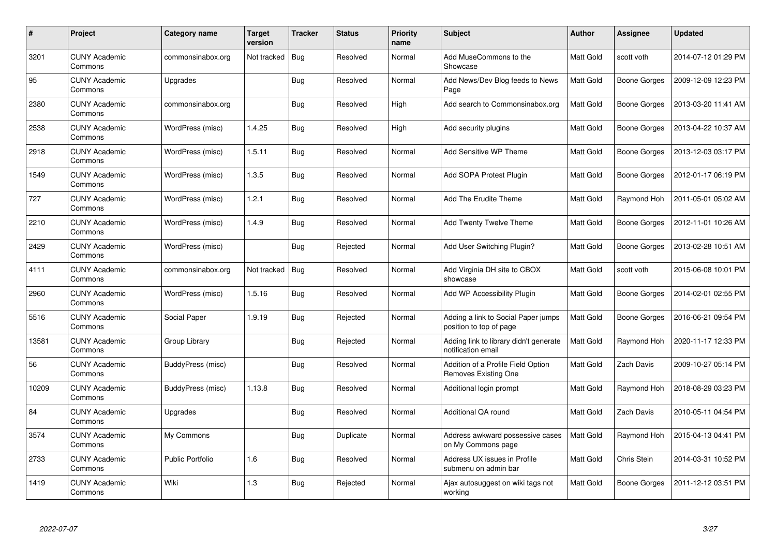| #     | Project                         | <b>Category name</b> | Target<br>version | <b>Tracker</b> | <b>Status</b> | <b>Priority</b><br>name | <b>Subject</b>                                                 | <b>Author</b>    | Assignee     | <b>Updated</b>      |
|-------|---------------------------------|----------------------|-------------------|----------------|---------------|-------------------------|----------------------------------------------------------------|------------------|--------------|---------------------|
| 3201  | <b>CUNY Academic</b><br>Commons | commonsinabox.org    | Not tracked       | Bug            | Resolved      | Normal                  | Add MuseCommons to the<br>Showcase                             | Matt Gold        | scott voth   | 2014-07-12 01:29 PM |
| 95    | <b>CUNY Academic</b><br>Commons | Upgrades             |                   | Bug            | Resolved      | Normal                  | Add News/Dev Blog feeds to News<br>Page                        | <b>Matt Gold</b> | Boone Gorges | 2009-12-09 12:23 PM |
| 2380  | <b>CUNY Academic</b><br>Commons | commonsinabox.org    |                   | Bug            | Resolved      | High                    | Add search to Commonsinabox.org                                | Matt Gold        | Boone Gorges | 2013-03-20 11:41 AM |
| 2538  | <b>CUNY Academic</b><br>Commons | WordPress (misc)     | 1.4.25            | Bug            | Resolved      | High                    | Add security plugins                                           | Matt Gold        | Boone Gorges | 2013-04-22 10:37 AM |
| 2918  | <b>CUNY Academic</b><br>Commons | WordPress (misc)     | 1.5.11            | Bug            | Resolved      | Normal                  | <b>Add Sensitive WP Theme</b>                                  | <b>Matt Gold</b> | Boone Gorges | 2013-12-03 03:17 PM |
| 1549  | <b>CUNY Academic</b><br>Commons | WordPress (misc)     | 1.3.5             | <b>Bug</b>     | Resolved      | Normal                  | Add SOPA Protest Plugin                                        | Matt Gold        | Boone Gorges | 2012-01-17 06:19 PM |
| 727   | <b>CUNY Academic</b><br>Commons | WordPress (misc)     | 1.2.1             | Bug            | Resolved      | Normal                  | Add The Erudite Theme                                          | <b>Matt Gold</b> | Raymond Hoh  | 2011-05-01 05:02 AM |
| 2210  | <b>CUNY Academic</b><br>Commons | WordPress (misc)     | 1.4.9             | Bug            | Resolved      | Normal                  | <b>Add Twenty Twelve Theme</b>                                 | Matt Gold        | Boone Gorges | 2012-11-01 10:26 AM |
| 2429  | <b>CUNY Academic</b><br>Commons | WordPress (misc)     |                   | Bug            | Rejected      | Normal                  | Add User Switching Plugin?                                     | Matt Gold        | Boone Gorges | 2013-02-28 10:51 AM |
| 4111  | <b>CUNY Academic</b><br>Commons | commonsinabox.org    | Not tracked       | Bug            | Resolved      | Normal                  | Add Virginia DH site to CBOX<br>showcase                       | Matt Gold        | scott voth   | 2015-06-08 10:01 PM |
| 2960  | <b>CUNY Academic</b><br>Commons | WordPress (misc)     | 1.5.16            | Bug            | Resolved      | Normal                  | Add WP Accessibility Plugin                                    | Matt Gold        | Boone Gorges | 2014-02-01 02:55 PM |
| 5516  | <b>CUNY Academic</b><br>Commons | Social Paper         | 1.9.19            | <b>Bug</b>     | Rejected      | Normal                  | Adding a link to Social Paper jumps<br>position to top of page | Matt Gold        | Boone Gorges | 2016-06-21 09:54 PM |
| 13581 | <b>CUNY Academic</b><br>Commons | Group Library        |                   | Bug            | Rejected      | Normal                  | Adding link to library didn't generate<br>notification email   | Matt Gold        | Raymond Hoh  | 2020-11-17 12:33 PM |
| 56    | <b>CUNY Academic</b><br>Commons | BuddyPress (misc)    |                   | Bug            | Resolved      | Normal                  | Addition of a Profile Field Option<br>Removes Existing One     | Matt Gold        | Zach Davis   | 2009-10-27 05:14 PM |
| 10209 | <b>CUNY Academic</b><br>Commons | BuddyPress (misc)    | 1.13.8            | <b>Bug</b>     | Resolved      | Normal                  | Additional login prompt                                        | Matt Gold        | Raymond Hoh  | 2018-08-29 03:23 PM |
| 84    | <b>CUNY Academic</b><br>Commons | Upgrades             |                   | <b>Bug</b>     | Resolved      | Normal                  | <b>Additional QA round</b>                                     | Matt Gold        | Zach Davis   | 2010-05-11 04:54 PM |
| 3574  | <b>CUNY Academic</b><br>Commons | My Commons           |                   | <b>Bug</b>     | Duplicate     | Normal                  | Address awkward possessive cases<br>on My Commons page         | <b>Matt Gold</b> | Raymond Hoh  | 2015-04-13 04:41 PM |
| 2733  | <b>CUNY Academic</b><br>Commons | Public Portfolio     | 1.6               | <b>Bug</b>     | Resolved      | Normal                  | Address UX issues in Profile<br>submenu on admin bar           | Matt Gold        | Chris Stein  | 2014-03-31 10:52 PM |
| 1419  | <b>CUNY Academic</b><br>Commons | Wiki                 | 1.3               | Bug            | Rejected      | Normal                  | Ajax autosuggest on wiki tags not<br>working                   | Matt Gold        | Boone Gorges | 2011-12-12 03:51 PM |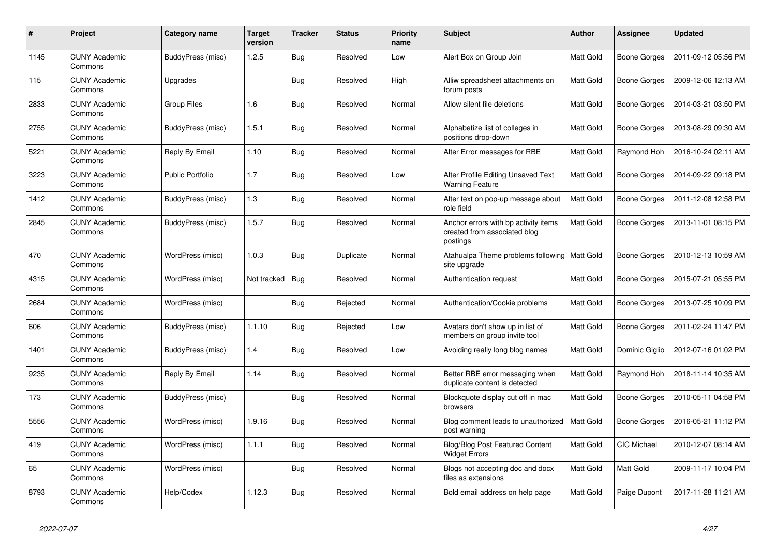| $\pmb{\#}$ | Project                         | Category name           | <b>Target</b><br>version | <b>Tracker</b> | <b>Status</b> | <b>Priority</b><br>name | <b>Subject</b>                                                                   | Author           | <b>Assignee</b>     | <b>Updated</b>      |
|------------|---------------------------------|-------------------------|--------------------------|----------------|---------------|-------------------------|----------------------------------------------------------------------------------|------------------|---------------------|---------------------|
| 1145       | <b>CUNY Academic</b><br>Commons | BuddyPress (misc)       | 1.2.5                    | Bug            | Resolved      | Low                     | Alert Box on Group Join                                                          | <b>Matt Gold</b> | <b>Boone Gorges</b> | 2011-09-12 05:56 PM |
| 115        | <b>CUNY Academic</b><br>Commons | Upgrades                |                          | Bug            | Resolved      | High                    | Alliw spreadsheet attachments on<br>forum posts                                  | Matt Gold        | <b>Boone Gorges</b> | 2009-12-06 12:13 AM |
| 2833       | <b>CUNY Academic</b><br>Commons | Group Files             | 1.6                      | <b>Bug</b>     | Resolved      | Normal                  | Allow silent file deletions                                                      | Matt Gold        | <b>Boone Gorges</b> | 2014-03-21 03:50 PM |
| 2755       | <b>CUNY Academic</b><br>Commons | BuddyPress (misc)       | 1.5.1                    | <b>Bug</b>     | Resolved      | Normal                  | Alphabetize list of colleges in<br>positions drop-down                           | Matt Gold        | Boone Gorges        | 2013-08-29 09:30 AM |
| 5221       | <b>CUNY Academic</b><br>Commons | Reply By Email          | 1.10                     | Bug            | Resolved      | Normal                  | Alter Error messages for RBE                                                     | Matt Gold        | Raymond Hoh         | 2016-10-24 02:11 AM |
| 3223       | <b>CUNY Academic</b><br>Commons | <b>Public Portfolio</b> | 1.7                      | Bug            | Resolved      | Low                     | Alter Profile Editing Unsaved Text<br><b>Warning Feature</b>                     | Matt Gold        | <b>Boone Gorges</b> | 2014-09-22 09:18 PM |
| 1412       | <b>CUNY Academic</b><br>Commons | BuddyPress (misc)       | 1.3                      | Bug            | Resolved      | Normal                  | Alter text on pop-up message about<br>role field                                 | Matt Gold        | Boone Gorges        | 2011-12-08 12:58 PM |
| 2845       | <b>CUNY Academic</b><br>Commons | BuddyPress (misc)       | 1.5.7                    | Bug            | Resolved      | Normal                  | Anchor errors with bp activity items<br>created from associated blog<br>postings | Matt Gold        | Boone Gorges        | 2013-11-01 08:15 PM |
| 470        | <b>CUNY Academic</b><br>Commons | WordPress (misc)        | 1.0.3                    | Bug            | Duplicate     | Normal                  | Atahualpa Theme problems following   Matt Gold<br>site upgrade                   |                  | Boone Gorges        | 2010-12-13 10:59 AM |
| 4315       | <b>CUNY Academic</b><br>Commons | WordPress (misc)        | Not tracked              | Bug            | Resolved      | Normal                  | Authentication request                                                           | Matt Gold        | <b>Boone Gorges</b> | 2015-07-21 05:55 PM |
| 2684       | <b>CUNY Academic</b><br>Commons | WordPress (misc)        |                          | Bug            | Rejected      | Normal                  | Authentication/Cookie problems                                                   | Matt Gold        | Boone Gorges        | 2013-07-25 10:09 PM |
| 606        | <b>CUNY Academic</b><br>Commons | BuddyPress (misc)       | 1.1.10                   | Bug            | Rejected      | Low                     | Avatars don't show up in list of<br>members on group invite tool                 | Matt Gold        | <b>Boone Gorges</b> | 2011-02-24 11:47 PM |
| 1401       | <b>CUNY Academic</b><br>Commons | BuddyPress (misc)       | 1.4                      | Bug            | Resolved      | Low                     | Avoiding really long blog names                                                  | <b>Matt Gold</b> | Dominic Giglio      | 2012-07-16 01:02 PM |
| 9235       | <b>CUNY Academic</b><br>Commons | Reply By Email          | 1.14                     | <b>Bug</b>     | Resolved      | Normal                  | Better RBE error messaging when<br>duplicate content is detected                 | Matt Gold        | Raymond Hoh         | 2018-11-14 10:35 AM |
| 173        | <b>CUNY Academic</b><br>Commons | BuddyPress (misc)       |                          | Bug            | Resolved      | Normal                  | Blockquote display cut off in mac<br>browsers                                    | Matt Gold        | Boone Gorges        | 2010-05-11 04:58 PM |
| 5556       | <b>CUNY Academic</b><br>Commons | WordPress (misc)        | 1.9.16                   | Bug            | Resolved      | Normal                  | Blog comment leads to unauthorized<br>post warning                               | <b>Matt Gold</b> | <b>Boone Gorges</b> | 2016-05-21 11:12 PM |
| 419        | <b>CUNY Academic</b><br>Commons | WordPress (misc)        | 1.1.1                    | <b>Bug</b>     | Resolved      | Normal                  | <b>Blog/Blog Post Featured Content</b><br><b>Widget Errors</b>                   | Matt Gold        | CIC Michael         | 2010-12-07 08:14 AM |
| 65         | <b>CUNY Academic</b><br>Commons | WordPress (misc)        |                          | <b>Bug</b>     | Resolved      | Normal                  | Blogs not accepting doc and docx<br>files as extensions                          | Matt Gold        | Matt Gold           | 2009-11-17 10:04 PM |
| 8793       | <b>CUNY Academic</b><br>Commons | Help/Codex              | 1.12.3                   | Bug            | Resolved      | Normal                  | Bold email address on help page                                                  | Matt Gold        | Paige Dupont        | 2017-11-28 11:21 AM |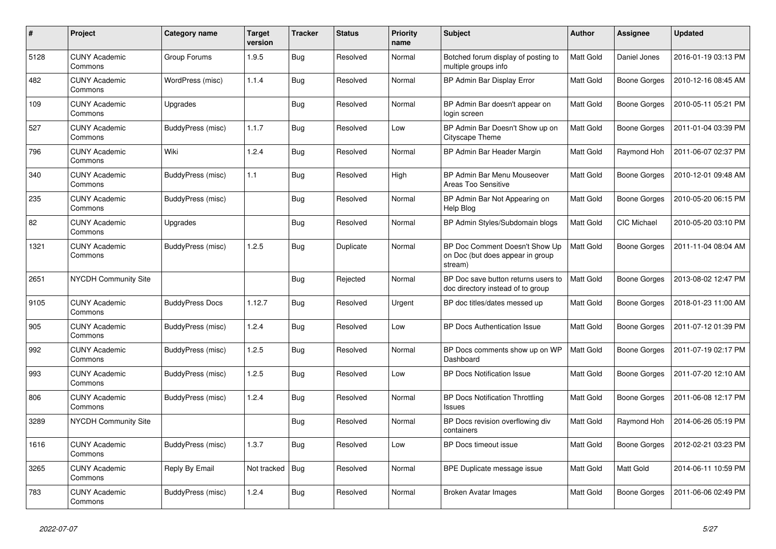| #    | Project                         | <b>Category name</b>   | Target<br>version | <b>Tracker</b> | <b>Status</b> | <b>Priority</b><br>name | <b>Subject</b>                                                                | <b>Author</b>    | Assignee     | <b>Updated</b>      |
|------|---------------------------------|------------------------|-------------------|----------------|---------------|-------------------------|-------------------------------------------------------------------------------|------------------|--------------|---------------------|
| 5128 | <b>CUNY Academic</b><br>Commons | Group Forums           | 1.9.5             | Bug            | Resolved      | Normal                  | Botched forum display of posting to<br>multiple groups info                   | <b>Matt Gold</b> | Daniel Jones | 2016-01-19 03:13 PM |
| 482  | <b>CUNY Academic</b><br>Commons | WordPress (misc)       | 1.1.4             | <b>Bug</b>     | Resolved      | Normal                  | BP Admin Bar Display Error                                                    | Matt Gold        | Boone Gorges | 2010-12-16 08:45 AM |
| 109  | <b>CUNY Academic</b><br>Commons | Upgrades               |                   | Bug            | Resolved      | Normal                  | BP Admin Bar doesn't appear on<br>login screen                                | Matt Gold        | Boone Gorges | 2010-05-11 05:21 PM |
| 527  | <b>CUNY Academic</b><br>Commons | BuddyPress (misc)      | 1.1.7             | Bug            | Resolved      | Low                     | BP Admin Bar Doesn't Show up on<br>Cityscape Theme                            | <b>Matt Gold</b> | Boone Gorges | 2011-01-04 03:39 PM |
| 796  | <b>CUNY Academic</b><br>Commons | Wiki                   | 1.2.4             | Bug            | Resolved      | Normal                  | BP Admin Bar Header Margin                                                    | Matt Gold        | Raymond Hoh  | 2011-06-07 02:37 PM |
| 340  | <b>CUNY Academic</b><br>Commons | BuddyPress (misc)      | 1.1               | Bug            | Resolved      | High                    | BP Admin Bar Menu Mouseover<br>Areas Too Sensitive                            | Matt Gold        | Boone Gorges | 2010-12-01 09:48 AM |
| 235  | <b>CUNY Academic</b><br>Commons | BuddyPress (misc)      |                   | Bug            | Resolved      | Normal                  | BP Admin Bar Not Appearing on<br>Help Blog                                    | Matt Gold        | Boone Gorges | 2010-05-20 06:15 PM |
| 82   | <b>CUNY Academic</b><br>Commons | Upgrades               |                   | Bug            | Resolved      | Normal                  | BP Admin Styles/Subdomain blogs                                               | <b>Matt Gold</b> | CIC Michael  | 2010-05-20 03:10 PM |
| 1321 | <b>CUNY Academic</b><br>Commons | BuddyPress (misc)      | 1.2.5             | Bug            | Duplicate     | Normal                  | BP Doc Comment Doesn't Show Up<br>on Doc (but does appear in group<br>stream) | Matt Gold        | Boone Gorges | 2011-11-04 08:04 AM |
| 2651 | <b>NYCDH Community Site</b>     |                        |                   | Bug            | Rejected      | Normal                  | BP Doc save button returns users to<br>doc directory instead of to group      | <b>Matt Gold</b> | Boone Gorges | 2013-08-02 12:47 PM |
| 9105 | <b>CUNY Academic</b><br>Commons | <b>BuddyPress Docs</b> | 1.12.7            | Bug            | Resolved      | Urgent                  | BP doc titles/dates messed up                                                 | Matt Gold        | Boone Gorges | 2018-01-23 11:00 AM |
| 905  | <b>CUNY Academic</b><br>Commons | BuddyPress (misc)      | 1.2.4             | Bug            | Resolved      | Low                     | BP Docs Authentication Issue                                                  | Matt Gold        | Boone Gorges | 2011-07-12 01:39 PM |
| 992  | <b>CUNY Academic</b><br>Commons | BuddyPress (misc)      | 1.2.5             | Bug            | Resolved      | Normal                  | BP Docs comments show up on WP<br>Dashboard                                   | Matt Gold        | Boone Gorges | 2011-07-19 02:17 PM |
| 993  | <b>CUNY Academic</b><br>Commons | BuddyPress (misc)      | 1.2.5             | <b>Bug</b>     | Resolved      | Low                     | <b>BP Docs Notification Issue</b>                                             | Matt Gold        | Boone Gorges | 2011-07-20 12:10 AM |
| 806  | <b>CUNY Academic</b><br>Commons | BuddyPress (misc)      | 1.2.4             | Bug            | Resolved      | Normal                  | <b>BP Docs Notification Throttling</b><br><b>Issues</b>                       | Matt Gold        | Boone Gorges | 2011-06-08 12:17 PM |
| 3289 | NYCDH Community Site            |                        |                   | Bug            | Resolved      | Normal                  | BP Docs revision overflowing div<br>containers                                | Matt Gold        | Raymond Hoh  | 2014-06-26 05:19 PM |
| 1616 | <b>CUNY Academic</b><br>Commons | BuddyPress (misc)      | 1.3.7             | Bug            | Resolved      | Low                     | BP Docs timeout issue                                                         | Matt Gold        | Boone Gorges | 2012-02-21 03:23 PM |
| 3265 | <b>CUNY Academic</b><br>Commons | Reply By Email         | Not tracked       | Bug            | Resolved      | Normal                  | BPE Duplicate message issue                                                   | Matt Gold        | Matt Gold    | 2014-06-11 10:59 PM |
| 783  | <b>CUNY Academic</b><br>Commons | BuddyPress (misc)      | 1.2.4             | Bug            | Resolved      | Normal                  | Broken Avatar Images                                                          | Matt Gold        | Boone Gorges | 2011-06-06 02:49 PM |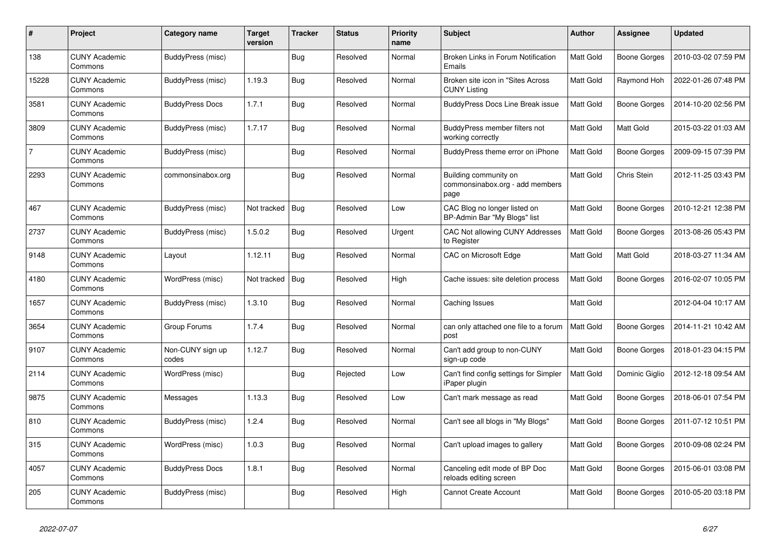| #              | Project                         | Category name             | <b>Target</b><br>version | <b>Tracker</b> | <b>Status</b> | <b>Priority</b><br>name | <b>Subject</b>                                                   | <b>Author</b>    | Assignee            | <b>Updated</b>      |
|----------------|---------------------------------|---------------------------|--------------------------|----------------|---------------|-------------------------|------------------------------------------------------------------|------------------|---------------------|---------------------|
| 138            | <b>CUNY Academic</b><br>Commons | BuddyPress (misc)         |                          | <b>Bug</b>     | Resolved      | Normal                  | Broken Links in Forum Notification<br>Emails                     | <b>Matt Gold</b> | Boone Gorges        | 2010-03-02 07:59 PM |
| 15228          | <b>CUNY Academic</b><br>Commons | BuddyPress (misc)         | 1.19.3                   | <b>Bug</b>     | Resolved      | Normal                  | Broken site icon in "Sites Across"<br><b>CUNY Listing</b>        | Matt Gold        | Raymond Hoh         | 2022-01-26 07:48 PM |
| 3581           | <b>CUNY Academic</b><br>Commons | <b>BuddyPress Docs</b>    | 1.7.1                    | Bug            | Resolved      | Normal                  | <b>BuddyPress Docs Line Break issue</b>                          | Matt Gold        | Boone Gorges        | 2014-10-20 02:56 PM |
| 3809           | <b>CUNY Academic</b><br>Commons | BuddyPress (misc)         | 1.7.17                   | Bug            | Resolved      | Normal                  | BuddyPress member filters not<br>working correctly               | Matt Gold        | Matt Gold           | 2015-03-22 01:03 AM |
| $\overline{7}$ | <b>CUNY Academic</b><br>Commons | BuddyPress (misc)         |                          | <b>Bug</b>     | Resolved      | Normal                  | BuddyPress theme error on iPhone                                 | Matt Gold        | Boone Gorges        | 2009-09-15 07:39 PM |
| 2293           | <b>CUNY Academic</b><br>Commons | commonsinabox.org         |                          | Bug            | Resolved      | Normal                  | Building community on<br>commonsinabox.org - add members<br>page | Matt Gold        | Chris Stein         | 2012-11-25 03:43 PM |
| 467            | <b>CUNY Academic</b><br>Commons | BuddyPress (misc)         | Not tracked              | <b>Bug</b>     | Resolved      | Low                     | CAC Blog no longer listed on<br>BP-Admin Bar "My Blogs" list     | Matt Gold        | Boone Gorges        | 2010-12-21 12:38 PM |
| 2737           | <b>CUNY Academic</b><br>Commons | BuddyPress (misc)         | 1.5.0.2                  | Bug            | Resolved      | Urgent                  | <b>CAC Not allowing CUNY Addresses</b><br>to Register            | Matt Gold        | Boone Gorges        | 2013-08-26 05:43 PM |
| 9148           | <b>CUNY Academic</b><br>Commons | Layout                    | 1.12.11                  | Bug            | Resolved      | Normal                  | CAC on Microsoft Edge                                            | Matt Gold        | Matt Gold           | 2018-03-27 11:34 AM |
| 4180           | <b>CUNY Academic</b><br>Commons | WordPress (misc)          | Not tracked              | <b>Bug</b>     | Resolved      | High                    | Cache issues: site deletion process                              | Matt Gold        | Boone Gorges        | 2016-02-07 10:05 PM |
| 1657           | <b>CUNY Academic</b><br>Commons | BuddyPress (misc)         | 1.3.10                   | Bug            | Resolved      | Normal                  | Caching Issues                                                   | Matt Gold        |                     | 2012-04-04 10:17 AM |
| 3654           | <b>CUNY Academic</b><br>Commons | Group Forums              | 1.7.4                    | <b>Bug</b>     | Resolved      | Normal                  | can only attached one file to a forum<br>post                    | Matt Gold        | Boone Gorges        | 2014-11-21 10:42 AM |
| 9107           | <b>CUNY Academic</b><br>Commons | Non-CUNY sign up<br>codes | 1.12.7                   | <b>Bug</b>     | Resolved      | Normal                  | Can't add group to non-CUNY<br>sign-up code                      | Matt Gold        | Boone Gorges        | 2018-01-23 04:15 PM |
| 2114           | <b>CUNY Academic</b><br>Commons | WordPress (misc)          |                          | Bug            | Rejected      | Low                     | Can't find config settings for Simpler<br>iPaper plugin          | Matt Gold        | Dominic Giglio      | 2012-12-18 09:54 AM |
| 9875           | <b>CUNY Academic</b><br>Commons | Messages                  | 1.13.3                   | <b>Bug</b>     | Resolved      | Low                     | Can't mark message as read                                       | Matt Gold        | <b>Boone Gorges</b> | 2018-06-01 07:54 PM |
| 810            | <b>CUNY Academic</b><br>Commons | BuddyPress (misc)         | 1.2.4                    | <b>Bug</b>     | Resolved      | Normal                  | Can't see all blogs in "My Blogs"                                | Matt Gold        | Boone Gorges        | 2011-07-12 10:51 PM |
| 315            | <b>CUNY Academic</b><br>Commons | WordPress (misc)          | 1.0.3                    | Bug            | Resolved      | Normal                  | Can't upload images to gallery                                   | Matt Gold        | Boone Gorges        | 2010-09-08 02:24 PM |
| 4057           | <b>CUNY Academic</b><br>Commons | <b>BuddyPress Docs</b>    | 1.8.1                    | <b>Bug</b>     | Resolved      | Normal                  | Canceling edit mode of BP Doc<br>reloads editing screen          | Matt Gold        | Boone Gorges        | 2015-06-01 03:08 PM |
| 205            | <b>CUNY Academic</b><br>Commons | BuddyPress (misc)         |                          | Bug            | Resolved      | High                    | <b>Cannot Create Account</b>                                     | Matt Gold        | Boone Gorges        | 2010-05-20 03:18 PM |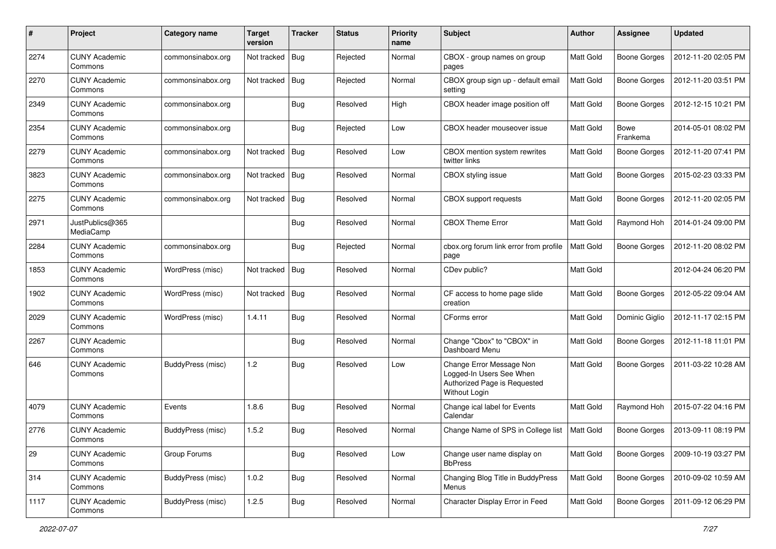| #    | Project                         | Category name     | <b>Target</b><br>version | <b>Tracker</b> | <b>Status</b> | <b>Priority</b><br>name | Subject                                                                                                      | Author           | Assignee                | <b>Updated</b>      |
|------|---------------------------------|-------------------|--------------------------|----------------|---------------|-------------------------|--------------------------------------------------------------------------------------------------------------|------------------|-------------------------|---------------------|
| 2274 | <b>CUNY Academic</b><br>Commons | commonsinabox.org | Not tracked              | Bug            | Rejected      | Normal                  | CBOX - group names on group<br>pages                                                                         | Matt Gold        | <b>Boone Gorges</b>     | 2012-11-20 02:05 PM |
| 2270 | <b>CUNY Academic</b><br>Commons | commonsinabox.org | Not tracked              | <b>Bug</b>     | Rejected      | Normal                  | CBOX group sign up - default email<br>setting                                                                | Matt Gold        | <b>Boone Gorges</b>     | 2012-11-20 03:51 PM |
| 2349 | <b>CUNY Academic</b><br>Commons | commonsinabox.org |                          | <b>Bug</b>     | Resolved      | High                    | CBOX header image position off                                                                               | Matt Gold        | <b>Boone Gorges</b>     | 2012-12-15 10:21 PM |
| 2354 | <b>CUNY Academic</b><br>Commons | commonsinabox.org |                          | <b>Bug</b>     | Rejected      | Low                     | CBOX header mouseover issue                                                                                  | <b>Matt Gold</b> | <b>Bowe</b><br>Frankema | 2014-05-01 08:02 PM |
| 2279 | <b>CUNY Academic</b><br>Commons | commonsinabox.org | Not tracked              | Bug            | Resolved      | Low                     | CBOX mention system rewrites<br>twitter links                                                                | Matt Gold        | <b>Boone Gorges</b>     | 2012-11-20 07:41 PM |
| 3823 | <b>CUNY Academic</b><br>Commons | commonsinabox.org | Not tracked              | <b>Bug</b>     | Resolved      | Normal                  | CBOX styling issue                                                                                           | Matt Gold        | <b>Boone Gorges</b>     | 2015-02-23 03:33 PM |
| 2275 | <b>CUNY Academic</b><br>Commons | commonsinabox.org | Not tracked              | Bug            | Resolved      | Normal                  | CBOX support requests                                                                                        | Matt Gold        | <b>Boone Gorges</b>     | 2012-11-20 02:05 PM |
| 2971 | JustPublics@365<br>MediaCamp    |                   |                          | Bug            | Resolved      | Normal                  | <b>CBOX Theme Error</b>                                                                                      | Matt Gold        | Raymond Hoh             | 2014-01-24 09:00 PM |
| 2284 | <b>CUNY Academic</b><br>Commons | commonsinabox.org |                          | Bug            | Rejected      | Normal                  | cbox.org forum link error from profile<br>page                                                               | Matt Gold        | <b>Boone Gorges</b>     | 2012-11-20 08:02 PM |
| 1853 | <b>CUNY Academic</b><br>Commons | WordPress (misc)  | Not tracked              | <b>Bug</b>     | Resolved      | Normal                  | CDev public?                                                                                                 | <b>Matt Gold</b> |                         | 2012-04-24 06:20 PM |
| 1902 | <b>CUNY Academic</b><br>Commons | WordPress (misc)  | Not tracked              | Bug            | Resolved      | Normal                  | CF access to home page slide<br>creation                                                                     | Matt Gold        | <b>Boone Gorges</b>     | 2012-05-22 09:04 AM |
| 2029 | <b>CUNY Academic</b><br>Commons | WordPress (misc)  | 1.4.11                   | Bug            | Resolved      | Normal                  | CForms error                                                                                                 | Matt Gold        | Dominic Giglio          | 2012-11-17 02:15 PM |
| 2267 | <b>CUNY Academic</b><br>Commons |                   |                          | <b>Bug</b>     | Resolved      | Normal                  | Change "Cbox" to "CBOX" in<br>Dashboard Menu                                                                 | Matt Gold        | <b>Boone Gorges</b>     | 2012-11-18 11:01 PM |
| 646  | <b>CUNY Academic</b><br>Commons | BuddyPress (misc) | 1.2                      | Bug            | Resolved      | Low                     | Change Error Message Non<br>Logged-In Users See When<br>Authorized Page is Requested<br><b>Without Login</b> | Matt Gold        | <b>Boone Gorges</b>     | 2011-03-22 10:28 AM |
| 4079 | <b>CUNY Academic</b><br>Commons | Events            | 1.8.6                    | Bug            | Resolved      | Normal                  | Change ical label for Events<br>Calendar                                                                     | Matt Gold        | Raymond Hoh             | 2015-07-22 04:16 PM |
| 2776 | <b>CUNY Academic</b><br>Commons | BuddyPress (misc) | 1.5.2                    | Bug            | Resolved      | Normal                  | Change Name of SPS in College list                                                                           | Matt Gold        | <b>Boone Gorges</b>     | 2013-09-11 08:19 PM |
| 29   | <b>CUNY Academic</b><br>Commons | Group Forums      |                          | <b>Bug</b>     | Resolved      | Low                     | Change user name display on<br><b>BbPress</b>                                                                | Matt Gold        | <b>Boone Gorges</b>     | 2009-10-19 03:27 PM |
| 314  | <b>CUNY Academic</b><br>Commons | BuddyPress (misc) | 1.0.2                    | <b>Bug</b>     | Resolved      | Normal                  | Changing Blog Title in BuddyPress<br>Menus                                                                   | Matt Gold        | Boone Gorges            | 2010-09-02 10:59 AM |
| 1117 | <b>CUNY Academic</b><br>Commons | BuddyPress (misc) | 1.2.5                    | Bug            | Resolved      | Normal                  | Character Display Error in Feed                                                                              | Matt Gold        | Boone Gorges            | 2011-09-12 06:29 PM |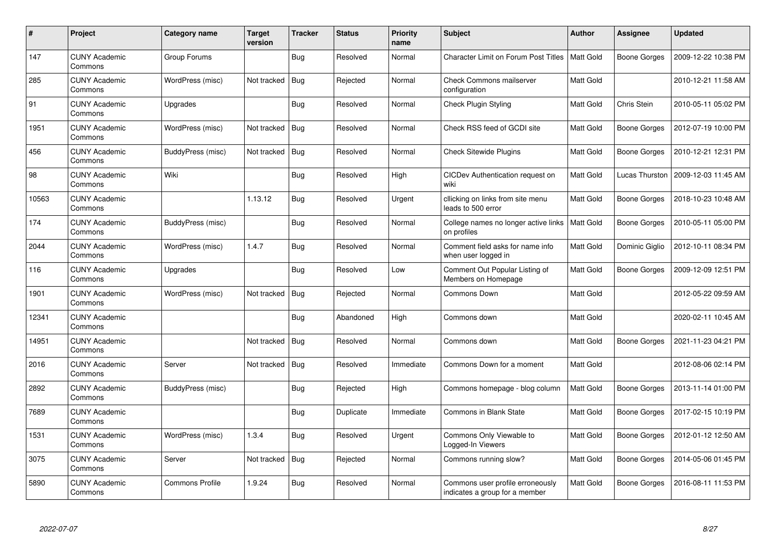| $\#$  | Project                         | Category name          | <b>Target</b><br>version | <b>Tracker</b> | <b>Status</b> | <b>Priority</b><br>name | <b>Subject</b>                                                     | <b>Author</b>    | Assignee            | <b>Updated</b>      |
|-------|---------------------------------|------------------------|--------------------------|----------------|---------------|-------------------------|--------------------------------------------------------------------|------------------|---------------------|---------------------|
| 147   | <b>CUNY Academic</b><br>Commons | Group Forums           |                          | Bug            | Resolved      | Normal                  | <b>Character Limit on Forum Post Titles</b>                        | <b>Matt Gold</b> | <b>Boone Gorges</b> | 2009-12-22 10:38 PM |
| 285   | <b>CUNY Academic</b><br>Commons | WordPress (misc)       | Not tracked              | Bug            | Rejected      | Normal                  | <b>Check Commons mailserver</b><br>configuration                   | Matt Gold        |                     | 2010-12-21 11:58 AM |
| 91    | <b>CUNY Academic</b><br>Commons | Upgrades               |                          | Bug            | Resolved      | Normal                  | <b>Check Plugin Styling</b>                                        | Matt Gold        | Chris Stein         | 2010-05-11 05:02 PM |
| 1951  | <b>CUNY Academic</b><br>Commons | WordPress (misc)       | Not tracked              | <b>Bug</b>     | Resolved      | Normal                  | Check RSS feed of GCDI site                                        | Matt Gold        | <b>Boone Gorges</b> | 2012-07-19 10:00 PM |
| 456   | <b>CUNY Academic</b><br>Commons | BuddyPress (misc)      | Not tracked              | Bug            | Resolved      | Normal                  | <b>Check Sitewide Plugins</b>                                      | Matt Gold        | Boone Gorges        | 2010-12-21 12:31 PM |
| 98    | <b>CUNY Academic</b><br>Commons | Wiki                   |                          | Bug            | Resolved      | High                    | CICDev Authentication request on<br>wiki                           | Matt Gold        | Lucas Thurston      | 2009-12-03 11:45 AM |
| 10563 | <b>CUNY Academic</b><br>Commons |                        | 1.13.12                  | Bug            | Resolved      | Urgent                  | cllicking on links from site menu<br>leads to 500 error            | Matt Gold        | <b>Boone Gorges</b> | 2018-10-23 10:48 AM |
| 174   | <b>CUNY Academic</b><br>Commons | BuddyPress (misc)      |                          | Bug            | Resolved      | Normal                  | College names no longer active links<br>on profiles                | Matt Gold        | Boone Gorges        | 2010-05-11 05:00 PM |
| 2044  | <b>CUNY Academic</b><br>Commons | WordPress (misc)       | 1.4.7                    | Bug            | Resolved      | Normal                  | Comment field asks for name info<br>when user logged in            | Matt Gold        | Dominic Giglio      | 2012-10-11 08:34 PM |
| 116   | <b>CUNY Academic</b><br>Commons | Upgrades               |                          | Bug            | Resolved      | Low                     | Comment Out Popular Listing of<br>Members on Homepage              | Matt Gold        | <b>Boone Gorges</b> | 2009-12-09 12:51 PM |
| 1901  | <b>CUNY Academic</b><br>Commons | WordPress (misc)       | Not tracked              | <b>Bug</b>     | Rejected      | Normal                  | Commons Down                                                       | Matt Gold        |                     | 2012-05-22 09:59 AM |
| 12341 | <b>CUNY Academic</b><br>Commons |                        |                          | Bug            | Abandoned     | High                    | Commons down                                                       | Matt Gold        |                     | 2020-02-11 10:45 AM |
| 14951 | <b>CUNY Academic</b><br>Commons |                        | Not tracked              | Bug            | Resolved      | Normal                  | Commons down                                                       | Matt Gold        | <b>Boone Gorges</b> | 2021-11-23 04:21 PM |
| 2016  | <b>CUNY Academic</b><br>Commons | Server                 | Not tracked              | Bug            | Resolved      | Immediate               | Commons Down for a moment                                          | Matt Gold        |                     | 2012-08-06 02:14 PM |
| 2892  | <b>CUNY Academic</b><br>Commons | BuddyPress (misc)      |                          | <b>Bug</b>     | Rejected      | High                    | Commons homepage - blog column                                     | Matt Gold        | Boone Gorges        | 2013-11-14 01:00 PM |
| 7689  | <b>CUNY Academic</b><br>Commons |                        |                          | <b>Bug</b>     | Duplicate     | Immediate               | <b>Commons in Blank State</b>                                      | Matt Gold        | Boone Gorges        | 2017-02-15 10:19 PM |
| 1531  | <b>CUNY Academic</b><br>Commons | WordPress (misc)       | 1.3.4                    | Bug            | Resolved      | Urgent                  | Commons Only Viewable to<br>Logged-In Viewers                      | Matt Gold        | Boone Gorges        | 2012-01-12 12:50 AM |
| 3075  | <b>CUNY Academic</b><br>Commons | Server                 | Not tracked              | Bug            | Rejected      | Normal                  | Commons running slow?                                              | Matt Gold        | Boone Gorges        | 2014-05-06 01:45 PM |
| 5890  | <b>CUNY Academic</b><br>Commons | <b>Commons Profile</b> | 1.9.24                   | <b>Bug</b>     | Resolved      | Normal                  | Commons user profile erroneously<br>indicates a group for a member | Matt Gold        | Boone Gorges        | 2016-08-11 11:53 PM |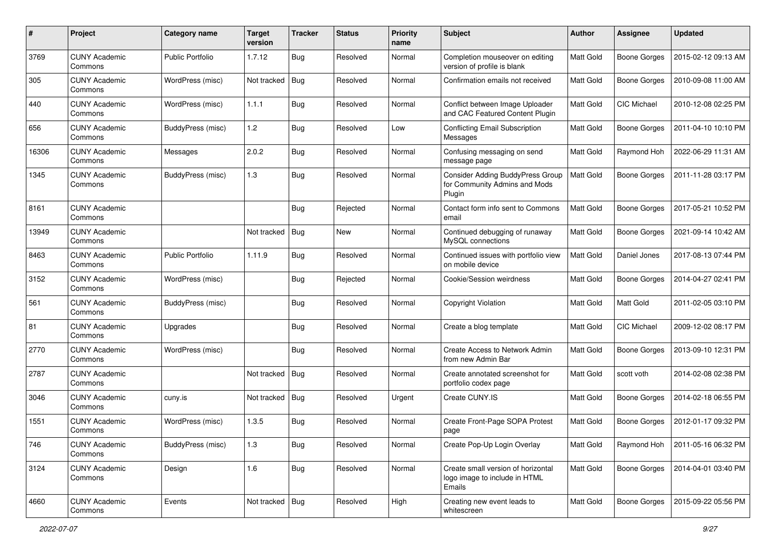| #     | Project                         | Category name            | <b>Target</b><br>version | <b>Tracker</b> | <b>Status</b> | <b>Priority</b><br>name | Subject                                                                            | Author           | Assignee            | <b>Updated</b>      |
|-------|---------------------------------|--------------------------|--------------------------|----------------|---------------|-------------------------|------------------------------------------------------------------------------------|------------------|---------------------|---------------------|
| 3769  | <b>CUNY Academic</b><br>Commons | <b>Public Portfolio</b>  | 1.7.12                   | Bug            | Resolved      | Normal                  | Completion mouseover on editing<br>version of profile is blank                     | Matt Gold        | <b>Boone Gorges</b> | 2015-02-12 09:13 AM |
| 305   | <b>CUNY Academic</b><br>Commons | WordPress (misc)         | Not tracked              | Bug            | Resolved      | Normal                  | Confirmation emails not received                                                   | Matt Gold        | <b>Boone Gorges</b> | 2010-09-08 11:00 AM |
| 440   | <b>CUNY Academic</b><br>Commons | WordPress (misc)         | 1.1.1                    | <b>Bug</b>     | Resolved      | Normal                  | Conflict between Image Uploader<br>and CAC Featured Content Plugin                 | <b>Matt Gold</b> | CIC Michael         | 2010-12-08 02:25 PM |
| 656   | <b>CUNY Academic</b><br>Commons | BuddyPress (misc)        | 1.2                      | Bug            | Resolved      | Low                     | Conflicting Email Subscription<br>Messages                                         | <b>Matt Gold</b> | <b>Boone Gorges</b> | 2011-04-10 10:10 PM |
| 16306 | <b>CUNY Academic</b><br>Commons | Messages                 | 2.0.2                    | <b>Bug</b>     | Resolved      | Normal                  | Confusing messaging on send<br>message page                                        | Matt Gold        | Raymond Hoh         | 2022-06-29 11:31 AM |
| 1345  | <b>CUNY Academic</b><br>Commons | <b>BuddyPress</b> (misc) | 1.3                      | Bug            | Resolved      | Normal                  | <b>Consider Adding BuddyPress Group</b><br>for Community Admins and Mods<br>Plugin | <b>Matt Gold</b> | <b>Boone Gorges</b> | 2011-11-28 03:17 PM |
| 8161  | <b>CUNY Academic</b><br>Commons |                          |                          | <b>Bug</b>     | Rejected      | Normal                  | Contact form info sent to Commons<br>email                                         | <b>Matt Gold</b> | <b>Boone Gorges</b> | 2017-05-21 10:52 PM |
| 13949 | <b>CUNY Academic</b><br>Commons |                          | Not tracked              | Bug            | New           | Normal                  | Continued debugging of runaway<br>MySQL connections                                | Matt Gold        | <b>Boone Gorges</b> | 2021-09-14 10:42 AM |
| 8463  | <b>CUNY Academic</b><br>Commons | <b>Public Portfolio</b>  | 1.11.9                   | Bug            | Resolved      | Normal                  | Continued issues with portfolio view<br>on mobile device                           | <b>Matt Gold</b> | Daniel Jones        | 2017-08-13 07:44 PM |
| 3152  | <b>CUNY Academic</b><br>Commons | WordPress (misc)         |                          | Bug            | Rejected      | Normal                  | Cookie/Session weirdness                                                           | Matt Gold        | <b>Boone Gorges</b> | 2014-04-27 02:41 PM |
| 561   | <b>CUNY Academic</b><br>Commons | BuddyPress (misc)        |                          | <b>Bug</b>     | Resolved      | Normal                  | Copyright Violation                                                                | Matt Gold        | Matt Gold           | 2011-02-05 03:10 PM |
| 81    | <b>CUNY Academic</b><br>Commons | Upgrades                 |                          | Bug            | Resolved      | Normal                  | Create a blog template                                                             | Matt Gold        | CIC Michael         | 2009-12-02 08:17 PM |
| 2770  | <b>CUNY Academic</b><br>Commons | WordPress (misc)         |                          | <b>Bug</b>     | Resolved      | Normal                  | Create Access to Network Admin<br>from new Admin Bar                               | <b>Matt Gold</b> | <b>Boone Gorges</b> | 2013-09-10 12:31 PM |
| 2787  | <b>CUNY Academic</b><br>Commons |                          | Not tracked              | Bug            | Resolved      | Normal                  | Create annotated screenshot for<br>portfolio codex page                            | <b>Matt Gold</b> | scott voth          | 2014-02-08 02:38 PM |
| 3046  | <b>CUNY Academic</b><br>Commons | cuny.is                  | Not tracked              | <b>Bug</b>     | Resolved      | Urgent                  | Create CUNY.IS                                                                     | Matt Gold        | <b>Boone Gorges</b> | 2014-02-18 06:55 PM |
| 1551  | <b>CUNY Academic</b><br>Commons | WordPress (misc)         | 1.3.5                    | Bug            | Resolved      | Normal                  | Create Front-Page SOPA Protest<br>page                                             | <b>Matt Gold</b> | <b>Boone Gorges</b> | 2012-01-17 09:32 PM |
| 746   | <b>CUNY Academic</b><br>Commons | BuddyPress (misc)        | 1.3                      | <b>Bug</b>     | Resolved      | Normal                  | Create Pop-Up Login Overlay                                                        | Matt Gold        | Raymond Hoh         | 2011-05-16 06:32 PM |
| 3124  | <b>CUNY Academic</b><br>Commons | Design                   | 1.6                      | <b>Bug</b>     | Resolved      | Normal                  | Create small version of horizontal<br>logo image to include in HTML<br>Emails      | Matt Gold        | Boone Gorges        | 2014-04-01 03:40 PM |
| 4660  | <b>CUNY Academic</b><br>Commons | Events                   | Not tracked   Bug        |                | Resolved      | High                    | Creating new event leads to<br>whitescreen                                         | Matt Gold        | <b>Boone Gorges</b> | 2015-09-22 05:56 PM |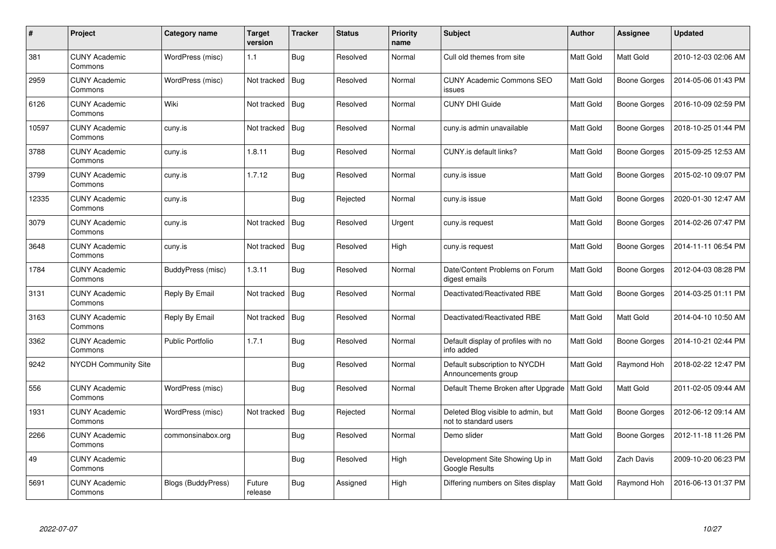| $\#$  | Project                         | Category name           | <b>Target</b><br>version | <b>Tracker</b> | <b>Status</b> | <b>Priority</b><br>name | <b>Subject</b>                                              | <b>Author</b>    | Assignee            | <b>Updated</b>      |
|-------|---------------------------------|-------------------------|--------------------------|----------------|---------------|-------------------------|-------------------------------------------------------------|------------------|---------------------|---------------------|
| 381   | <b>CUNY Academic</b><br>Commons | WordPress (misc)        | 1.1                      | Bug            | Resolved      | Normal                  | Cull old themes from site                                   | Matt Gold        | Matt Gold           | 2010-12-03 02:06 AM |
| 2959  | <b>CUNY Academic</b><br>Commons | WordPress (misc)        | Not tracked              | <b>Bug</b>     | Resolved      | Normal                  | <b>CUNY Academic Commons SEO</b><br>issues                  | <b>Matt Gold</b> | Boone Gorges        | 2014-05-06 01:43 PM |
| 6126  | <b>CUNY Academic</b><br>Commons | Wiki                    | Not tracked              | <b>Bug</b>     | Resolved      | Normal                  | <b>CUNY DHI Guide</b>                                       | <b>Matt Gold</b> | <b>Boone Gorges</b> | 2016-10-09 02:59 PM |
| 10597 | <b>CUNY Academic</b><br>Commons | cuny.is                 | Not tracked              | Bug            | Resolved      | Normal                  | cuny.is admin unavailable                                   | Matt Gold        | <b>Boone Gorges</b> | 2018-10-25 01:44 PM |
| 3788  | <b>CUNY Academic</b><br>Commons | cuny.is                 | 1.8.11                   | Bug            | Resolved      | Normal                  | CUNY.is default links?                                      | Matt Gold        | Boone Gorges        | 2015-09-25 12:53 AM |
| 3799  | <b>CUNY Academic</b><br>Commons | cuny.is                 | 1.7.12                   | Bug            | Resolved      | Normal                  | cuny.is issue                                               | Matt Gold        | Boone Gorges        | 2015-02-10 09:07 PM |
| 12335 | <b>CUNY Academic</b><br>Commons | cuny.is                 |                          | Bug            | Rejected      | Normal                  | cuny.is issue                                               | Matt Gold        | <b>Boone Gorges</b> | 2020-01-30 12:47 AM |
| 3079  | <b>CUNY Academic</b><br>Commons | cuny.is                 | Not tracked              | Bug            | Resolved      | Urgent                  | cuny.is request                                             | Matt Gold        | Boone Gorges        | 2014-02-26 07:47 PM |
| 3648  | <b>CUNY Academic</b><br>Commons | cuny.is                 | Not tracked              | Bug            | Resolved      | High                    | cuny.is request                                             | Matt Gold        | <b>Boone Gorges</b> | 2014-11-11 06:54 PM |
| 1784  | <b>CUNY Academic</b><br>Commons | BuddyPress (misc)       | 1.3.11                   | Bug            | Resolved      | Normal                  | Date/Content Problems on Forum<br>digest emails             | Matt Gold        | Boone Gorges        | 2012-04-03 08:28 PM |
| 3131  | <b>CUNY Academic</b><br>Commons | Reply By Email          | Not tracked              | Bug            | Resolved      | Normal                  | Deactivated/Reactivated RBE                                 | Matt Gold        | <b>Boone Gorges</b> | 2014-03-25 01:11 PM |
| 3163  | <b>CUNY Academic</b><br>Commons | Reply By Email          | Not tracked              | Bug            | Resolved      | Normal                  | Deactivated/Reactivated RBE                                 | Matt Gold        | Matt Gold           | 2014-04-10 10:50 AM |
| 3362  | <b>CUNY Academic</b><br>Commons | <b>Public Portfolio</b> | 1.7.1                    | <b>Bug</b>     | Resolved      | Normal                  | Default display of profiles with no<br>info added           | Matt Gold        | Boone Gorges        | 2014-10-21 02:44 PM |
| 9242  | <b>NYCDH Community Site</b>     |                         |                          | <b>Bug</b>     | Resolved      | Normal                  | Default subscription to NYCDH<br>Announcements group        | Matt Gold        | Raymond Hoh         | 2018-02-22 12:47 PM |
| 556   | <b>CUNY Academic</b><br>Commons | WordPress (misc)        |                          | <b>Bug</b>     | Resolved      | Normal                  | Default Theme Broken after Upgrade   Matt Gold              |                  | Matt Gold           | 2011-02-05 09:44 AM |
| 1931  | <b>CUNY Academic</b><br>Commons | WordPress (misc)        | Not tracked              | Bug            | Rejected      | Normal                  | Deleted Blog visible to admin, but<br>not to standard users | Matt Gold        | Boone Gorges        | 2012-06-12 09:14 AM |
| 2266  | <b>CUNY Academic</b><br>Commons | commonsinabox.org       |                          | <b>Bug</b>     | Resolved      | Normal                  | Demo slider                                                 | Matt Gold        | Boone Gorges        | 2012-11-18 11:26 PM |
| 49    | <b>CUNY Academic</b><br>Commons |                         |                          | <b>Bug</b>     | Resolved      | High                    | Development Site Showing Up in<br>Google Results            | Matt Gold        | Zach Davis          | 2009-10-20 06:23 PM |
| 5691  | <b>CUNY Academic</b><br>Commons | Blogs (BuddyPress)      | Future<br>release        | Bug            | Assigned      | High                    | Differing numbers on Sites display                          | <b>Matt Gold</b> | Raymond Hoh         | 2016-06-13 01:37 PM |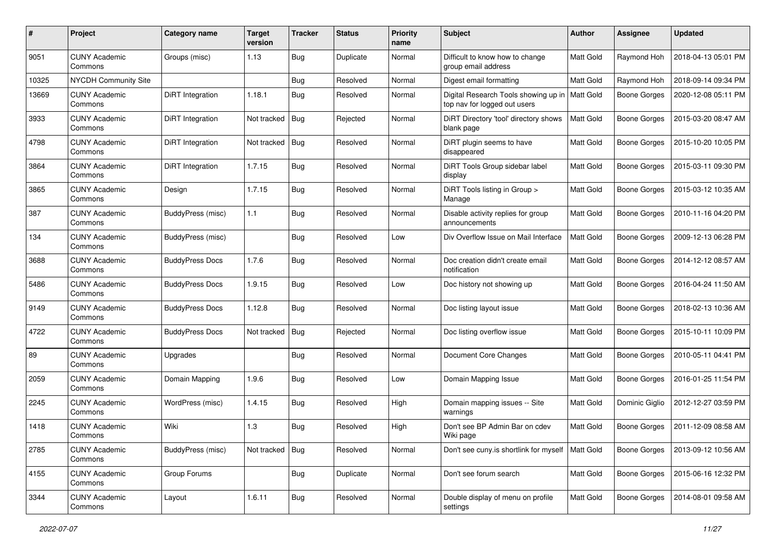| #     | Project                         | Category name          | <b>Target</b><br>version | <b>Tracker</b> | <b>Status</b> | <b>Priority</b><br>name | Subject                                                              | Author           | <b>Assignee</b>     | <b>Updated</b>      |
|-------|---------------------------------|------------------------|--------------------------|----------------|---------------|-------------------------|----------------------------------------------------------------------|------------------|---------------------|---------------------|
| 9051  | <b>CUNY Academic</b><br>Commons | Groups (misc)          | 1.13                     | Bug            | Duplicate     | Normal                  | Difficult to know how to change<br>group email address               | <b>Matt Gold</b> | Raymond Hoh         | 2018-04-13 05:01 PM |
| 10325 | <b>NYCDH Community Site</b>     |                        |                          | Bug            | Resolved      | Normal                  | Digest email formatting                                              | Matt Gold        | Raymond Hoh         | 2018-09-14 09:34 PM |
| 13669 | <b>CUNY Academic</b><br>Commons | DiRT Integration       | 1.18.1                   | <b>Bug</b>     | Resolved      | Normal                  | Digital Research Tools showing up in<br>top nav for logged out users | <b>Matt Gold</b> | Boone Gorges        | 2020-12-08 05:11 PM |
| 3933  | <b>CUNY Academic</b><br>Commons | DiRT Integration       | Not tracked              | Bug            | Rejected      | Normal                  | DiRT Directory 'tool' directory shows<br>blank page                  | Matt Gold        | <b>Boone Gorges</b> | 2015-03-20 08:47 AM |
| 4798  | <b>CUNY Academic</b><br>Commons | DiRT Integration       | Not tracked              | Bug            | Resolved      | Normal                  | DiRT plugin seems to have<br>disappeared                             | Matt Gold        | Boone Gorges        | 2015-10-20 10:05 PM |
| 3864  | <b>CUNY Academic</b><br>Commons | DiRT Integration       | 1.7.15                   | <b>Bug</b>     | Resolved      | Normal                  | DiRT Tools Group sidebar label<br>display                            | <b>Matt Gold</b> | <b>Boone Gorges</b> | 2015-03-11 09:30 PM |
| 3865  | <b>CUNY Academic</b><br>Commons | Design                 | 1.7.15                   | Bug            | Resolved      | Normal                  | DiRT Tools listing in Group ><br>Manage                              | Matt Gold        | <b>Boone Gorges</b> | 2015-03-12 10:35 AM |
| 387   | <b>CUNY Academic</b><br>Commons | BuddyPress (misc)      | 1.1                      | Bug            | Resolved      | Normal                  | Disable activity replies for group<br>announcements                  | Matt Gold        | <b>Boone Gorges</b> | 2010-11-16 04:20 PM |
| 134   | <b>CUNY Academic</b><br>Commons | BuddyPress (misc)      |                          | Bug            | Resolved      | Low                     | Div Overflow Issue on Mail Interface                                 | Matt Gold        | Boone Gorges        | 2009-12-13 06:28 PM |
| 3688  | <b>CUNY Academic</b><br>Commons | <b>BuddyPress Docs</b> | 1.7.6                    | Bug            | Resolved      | Normal                  | Doc creation didn't create email<br>notification                     | Matt Gold        | Boone Gorges        | 2014-12-12 08:57 AM |
| 5486  | <b>CUNY Academic</b><br>Commons | <b>BuddyPress Docs</b> | 1.9.15                   | <b>Bug</b>     | Resolved      | Low                     | Doc history not showing up                                           | Matt Gold        | <b>Boone Gorges</b> | 2016-04-24 11:50 AM |
| 9149  | <b>CUNY Academic</b><br>Commons | <b>BuddyPress Docs</b> | 1.12.8                   | Bug            | Resolved      | Normal                  | Doc listing layout issue                                             | Matt Gold        | Boone Gorges        | 2018-02-13 10:36 AM |
| 4722  | <b>CUNY Academic</b><br>Commons | <b>BuddyPress Docs</b> | Not tracked              | Bug            | Rejected      | Normal                  | Doc listing overflow issue                                           | Matt Gold        | <b>Boone Gorges</b> | 2015-10-11 10:09 PM |
| 89    | <b>CUNY Academic</b><br>Commons | Upgrades               |                          | Bug            | Resolved      | Normal                  | Document Core Changes                                                | Matt Gold        | <b>Boone Gorges</b> | 2010-05-11 04:41 PM |
| 2059  | <b>CUNY Academic</b><br>Commons | Domain Mapping         | 1.9.6                    | Bug            | Resolved      | Low                     | Domain Mapping Issue                                                 | Matt Gold        | <b>Boone Gorges</b> | 2016-01-25 11:54 PM |
| 2245  | <b>CUNY Academic</b><br>Commons | WordPress (misc)       | 1.4.15                   | <b>Bug</b>     | Resolved      | High                    | Domain mapping issues -- Site<br>warnings                            | Matt Gold        | Dominic Giglio      | 2012-12-27 03:59 PM |
| 1418  | <b>CUNY Academic</b><br>Commons | Wiki                   | 1.3                      | Bug            | Resolved      | High                    | Don't see BP Admin Bar on cdev<br>Wiki page                          | Matt Gold        | Boone Gorges        | 2011-12-09 08:58 AM |
| 2785  | <b>CUNY Academic</b><br>Commons | BuddyPress (misc)      | Not tracked              | Bug            | Resolved      | Normal                  | Don't see cuny is shortlink for myself   Matt Gold                   |                  | <b>Boone Gorges</b> | 2013-09-12 10:56 AM |
| 4155  | <b>CUNY Academic</b><br>Commons | Group Forums           |                          | <b>Bug</b>     | Duplicate     | Normal                  | Don't see forum search                                               | Matt Gold        | Boone Gorges        | 2015-06-16 12:32 PM |
| 3344  | <b>CUNY Academic</b><br>Commons | Layout                 | 1.6.11                   | Bug            | Resolved      | Normal                  | Double display of menu on profile<br>settings                        | Matt Gold        | Boone Gorges        | 2014-08-01 09:58 AM |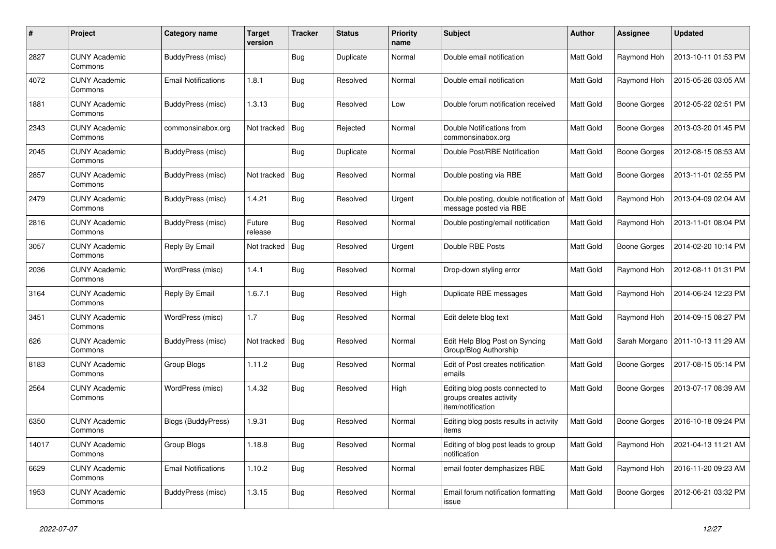| #     | Project                         | Category name              | <b>Target</b><br>version | <b>Tracker</b> | <b>Status</b> | <b>Priority</b><br>name | <b>Subject</b>                                                                  | <b>Author</b>    | Assignee            | <b>Updated</b>      |
|-------|---------------------------------|----------------------------|--------------------------|----------------|---------------|-------------------------|---------------------------------------------------------------------------------|------------------|---------------------|---------------------|
| 2827  | <b>CUNY Academic</b><br>Commons | BuddyPress (misc)          |                          | <b>Bug</b>     | Duplicate     | Normal                  | Double email notification                                                       | Matt Gold        | Raymond Hoh         | 2013-10-11 01:53 PM |
| 4072  | <b>CUNY Academic</b><br>Commons | <b>Email Notifications</b> | 1.8.1                    | <b>Bug</b>     | Resolved      | Normal                  | Double email notification                                                       | Matt Gold        | Raymond Hoh         | 2015-05-26 03:05 AM |
| 1881  | <b>CUNY Academic</b><br>Commons | BuddyPress (misc)          | 1.3.13                   | <b>Bug</b>     | Resolved      | Low                     | Double forum notification received                                              | Matt Gold        | Boone Gorges        | 2012-05-22 02:51 PM |
| 2343  | <b>CUNY Academic</b><br>Commons | commonsinabox.org          | Not tracked              | <b>Bug</b>     | Rejected      | Normal                  | Double Notifications from<br>commonsinabox.org                                  | Matt Gold        | <b>Boone Gorges</b> | 2013-03-20 01:45 PM |
| 2045  | <b>CUNY Academic</b><br>Commons | BuddyPress (misc)          |                          | Bug            | Duplicate     | Normal                  | Double Post/RBE Notification                                                    | Matt Gold        | Boone Gorges        | 2012-08-15 08:53 AM |
| 2857  | <b>CUNY Academic</b><br>Commons | BuddyPress (misc)          | Not tracked              | Bug            | Resolved      | Normal                  | Double posting via RBE                                                          | Matt Gold        | Boone Gorges        | 2013-11-01 02:55 PM |
| 2479  | <b>CUNY Academic</b><br>Commons | BuddyPress (misc)          | 1.4.21                   | Bug            | Resolved      | Urgent                  | Double posting, double notification of   Matt Gold<br>message posted via RBE    |                  | Raymond Hoh         | 2013-04-09 02:04 AM |
| 2816  | <b>CUNY Academic</b><br>Commons | BuddyPress (misc)          | Future<br>release        | Bug            | Resolved      | Normal                  | Double posting/email notification                                               | Matt Gold        | Raymond Hoh         | 2013-11-01 08:04 PM |
| 3057  | CUNY Academic<br>Commons        | Reply By Email             | Not tracked              | <b>Bug</b>     | Resolved      | Urgent                  | Double RBE Posts                                                                | Matt Gold        | Boone Gorges        | 2014-02-20 10:14 PM |
| 2036  | <b>CUNY Academic</b><br>Commons | WordPress (misc)           | 1.4.1                    | <b>Bug</b>     | Resolved      | Normal                  | Drop-down styling error                                                         | Matt Gold        | Raymond Hoh         | 2012-08-11 01:31 PM |
| 3164  | <b>CUNY Academic</b><br>Commons | Reply By Email             | 1.6.7.1                  | <b>Bug</b>     | Resolved      | High                    | Duplicate RBE messages                                                          | Matt Gold        | Raymond Hoh         | 2014-06-24 12:23 PM |
| 3451  | <b>CUNY Academic</b><br>Commons | WordPress (misc)           | 1.7                      | <b>Bug</b>     | Resolved      | Normal                  | Edit delete blog text                                                           | Matt Gold        | Raymond Hoh         | 2014-09-15 08:27 PM |
| 626   | <b>CUNY Academic</b><br>Commons | BuddyPress (misc)          | Not tracked              | Bug            | Resolved      | Normal                  | Edit Help Blog Post on Syncing<br>Group/Blog Authorship                         | Matt Gold        | Sarah Morgano       | 2011-10-13 11:29 AM |
| 8183  | <b>CUNY Academic</b><br>Commons | Group Blogs                | 1.11.2                   | Bug            | Resolved      | Normal                  | Edit of Post creates notification<br>emails                                     | Matt Gold        | Boone Gorges        | 2017-08-15 05:14 PM |
| 2564  | <b>CUNY Academic</b><br>Commons | WordPress (misc)           | 1.4.32                   | Bug            | Resolved      | High                    | Editing blog posts connected to<br>groups creates activity<br>item/notification | Matt Gold        | Boone Gorges        | 2013-07-17 08:39 AM |
| 6350  | <b>CUNY Academic</b><br>Commons | <b>Blogs (BuddyPress)</b>  | 1.9.31                   | Bug            | Resolved      | Normal                  | Editing blog posts results in activity<br>items                                 | <b>Matt Gold</b> | Boone Gorges        | 2016-10-18 09:24 PM |
| 14017 | <b>CUNY Academic</b><br>Commons | Group Blogs                | 1.18.8                   | <b>Bug</b>     | Resolved      | Normal                  | Editing of blog post leads to group<br>notification                             | Matt Gold        | Raymond Hoh         | 2021-04-13 11:21 AM |
| 6629  | <b>CUNY Academic</b><br>Commons | <b>Email Notifications</b> | 1.10.2                   | Bug            | Resolved      | Normal                  | email footer demphasizes RBE                                                    | Matt Gold        | Raymond Hoh         | 2016-11-20 09:23 AM |
| 1953  | <b>CUNY Academic</b><br>Commons | BuddyPress (misc)          | 1.3.15                   | Bug            | Resolved      | Normal                  | Email forum notification formatting<br>issue                                    | Matt Gold        | <b>Boone Gorges</b> | 2012-06-21 03:32 PM |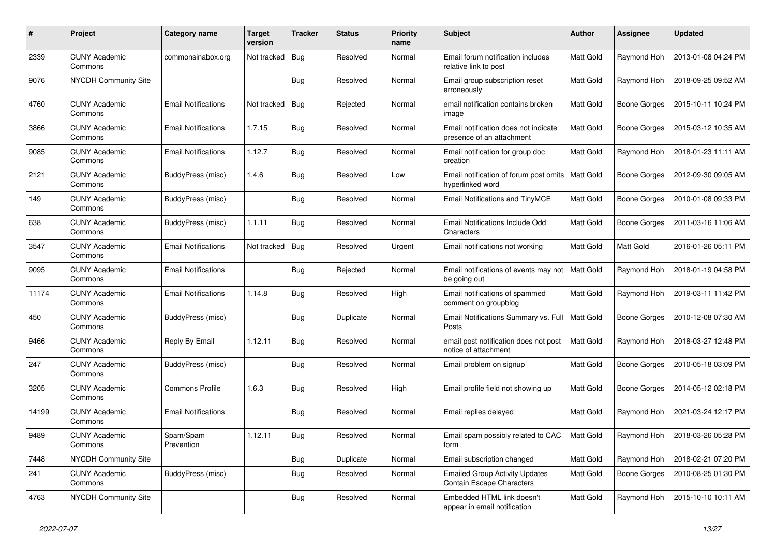| #     | Project                         | Category name              | <b>Target</b><br>version | <b>Tracker</b> | <b>Status</b> | <b>Priority</b><br>name | Subject                                                                   | Author           | <b>Assignee</b>     | <b>Updated</b>      |
|-------|---------------------------------|----------------------------|--------------------------|----------------|---------------|-------------------------|---------------------------------------------------------------------------|------------------|---------------------|---------------------|
| 2339  | <b>CUNY Academic</b><br>Commons | commonsinabox.org          | Not tracked              | Bug            | Resolved      | Normal                  | Email forum notification includes<br>relative link to post                | Matt Gold        | Raymond Hoh         | 2013-01-08 04:24 PM |
| 9076  | NYCDH Community Site            |                            |                          | Bug            | Resolved      | Normal                  | Email group subscription reset<br>erroneously                             | Matt Gold        | Raymond Hoh         | 2018-09-25 09:52 AM |
| 4760  | <b>CUNY Academic</b><br>Commons | <b>Email Notifications</b> | Not tracked              | Bug            | Rejected      | Normal                  | email notification contains broken<br>image                               | Matt Gold        | <b>Boone Gorges</b> | 2015-10-11 10:24 PM |
| 3866  | <b>CUNY Academic</b><br>Commons | <b>Email Notifications</b> | 1.7.15                   | Bug            | Resolved      | Normal                  | Email notification does not indicate<br>presence of an attachment         | Matt Gold        | <b>Boone Gorges</b> | 2015-03-12 10:35 AM |
| 9085  | <b>CUNY Academic</b><br>Commons | <b>Email Notifications</b> | 1.12.7                   | <b>Bug</b>     | Resolved      | Normal                  | Email notification for group doc<br>creation                              | <b>Matt Gold</b> | Raymond Hoh         | 2018-01-23 11:11 AM |
| 2121  | <b>CUNY Academic</b><br>Commons | BuddyPress (misc)          | 1.4.6                    | Bug            | Resolved      | Low                     | Email notification of forum post omits<br>hyperlinked word                | Matt Gold        | <b>Boone Gorges</b> | 2012-09-30 09:05 AM |
| 149   | <b>CUNY Academic</b><br>Commons | BuddyPress (misc)          |                          | Bug            | Resolved      | Normal                  | Email Notifications and TinyMCE                                           | Matt Gold        | <b>Boone Gorges</b> | 2010-01-08 09:33 PM |
| 638   | <b>CUNY Academic</b><br>Commons | BuddyPress (misc)          | 1.1.11                   | Bug            | Resolved      | Normal                  | Email Notifications Include Odd<br>Characters                             | Matt Gold        | <b>Boone Gorges</b> | 2011-03-16 11:06 AM |
| 3547  | <b>CUNY Academic</b><br>Commons | <b>Email Notifications</b> | Not tracked              | Bug            | Resolved      | Urgent                  | Email notifications not working                                           | Matt Gold        | Matt Gold           | 2016-01-26 05:11 PM |
| 9095  | <b>CUNY Academic</b><br>Commons | <b>Email Notifications</b> |                          | <b>Bug</b>     | Rejected      | Normal                  | Email notifications of events may not<br>be going out                     | Matt Gold        | Raymond Hoh         | 2018-01-19 04:58 PM |
| 11174 | <b>CUNY Academic</b><br>Commons | <b>Email Notifications</b> | 1.14.8                   | Bug            | Resolved      | High                    | Email notifications of spammed<br>comment on groupblog                    | Matt Gold        | Raymond Hoh         | 2019-03-11 11:42 PM |
| 450   | <b>CUNY Academic</b><br>Commons | BuddyPress (misc)          |                          | <b>Bug</b>     | Duplicate     | Normal                  | Email Notifications Summary vs. Full<br>Posts                             | <b>Matt Gold</b> | <b>Boone Gorges</b> | 2010-12-08 07:30 AM |
| 9466  | <b>CUNY Academic</b><br>Commons | Reply By Email             | 1.12.11                  | Bug            | Resolved      | Normal                  | email post notification does not post<br>notice of attachment             | Matt Gold        | Raymond Hoh         | 2018-03-27 12:48 PM |
| 247   | <b>CUNY Academic</b><br>Commons | BuddyPress (misc)          |                          | Bug            | Resolved      | Normal                  | Email problem on signup                                                   | Matt Gold        | <b>Boone Gorges</b> | 2010-05-18 03:09 PM |
| 3205  | <b>CUNY Academic</b><br>Commons | <b>Commons Profile</b>     | 1.6.3                    | Bug            | Resolved      | High                    | Email profile field not showing up                                        | Matt Gold        | <b>Boone Gorges</b> | 2014-05-12 02:18 PM |
| 14199 | <b>CUNY Academic</b><br>Commons | <b>Email Notifications</b> |                          | Bug            | Resolved      | Normal                  | Email replies delayed                                                     | Matt Gold        | Raymond Hoh         | 2021-03-24 12:17 PM |
| 9489  | <b>CUNY Academic</b><br>Commons | Spam/Spam<br>Prevention    | 1.12.11                  | Bug            | Resolved      | Normal                  | Email spam possibly related to CAC<br>form                                | Matt Gold        | Raymond Hoh         | 2018-03-26 05:28 PM |
| 7448  | NYCDH Community Site            |                            |                          | <b>Bug</b>     | Duplicate     | Normal                  | Email subscription changed                                                | Matt Gold        | Raymond Hoh         | 2018-02-21 07:20 PM |
| 241   | <b>CUNY Academic</b><br>Commons | <b>BuddyPress (misc)</b>   |                          | <b>Bug</b>     | Resolved      | Normal                  | <b>Emailed Group Activity Updates</b><br><b>Contain Escape Characters</b> | Matt Gold        | Boone Gorges        | 2010-08-25 01:30 PM |
| 4763  | <b>NYCDH Community Site</b>     |                            |                          | Bug            | Resolved      | Normal                  | Embedded HTML link doesn't<br>appear in email notification                | Matt Gold        | Raymond Hoh         | 2015-10-10 10:11 AM |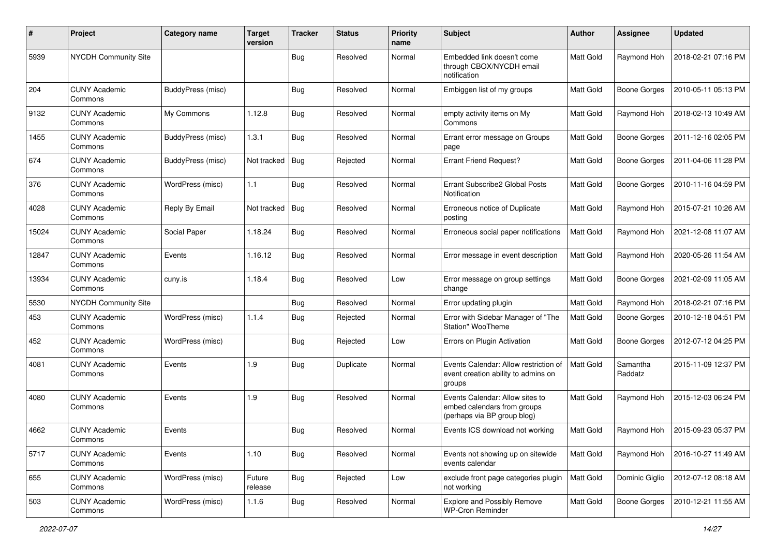| #     | Project                         | Category name     | <b>Target</b><br>version | <b>Tracker</b> | <b>Status</b> | <b>Priority</b><br>name | <b>Subject</b>                                                                                | Author           | <b>Assignee</b>     | <b>Updated</b>      |
|-------|---------------------------------|-------------------|--------------------------|----------------|---------------|-------------------------|-----------------------------------------------------------------------------------------------|------------------|---------------------|---------------------|
| 5939  | NYCDH Community Site            |                   |                          | Bug            | Resolved      | Normal                  | Embedded link doesn't come<br>through CBOX/NYCDH email<br>notification                        | <b>Matt Gold</b> | Raymond Hoh         | 2018-02-21 07:16 PM |
| 204   | <b>CUNY Academic</b><br>Commons | BuddyPress (misc) |                          | Bug            | Resolved      | Normal                  | Embiggen list of my groups                                                                    | <b>Matt Gold</b> | <b>Boone Gorges</b> | 2010-05-11 05:13 PM |
| 9132  | <b>CUNY Academic</b><br>Commons | My Commons        | 1.12.8                   | Bug            | Resolved      | Normal                  | empty activity items on My<br>Commons                                                         | Matt Gold        | Raymond Hoh         | 2018-02-13 10:49 AM |
| 1455  | <b>CUNY Academic</b><br>Commons | BuddyPress (misc) | 1.3.1                    | Bug            | Resolved      | Normal                  | Errant error message on Groups<br>page                                                        | <b>Matt Gold</b> | <b>Boone Gorges</b> | 2011-12-16 02:05 PM |
| 674   | <b>CUNY Academic</b><br>Commons | BuddyPress (misc) | Not tracked              | Bug            | Rejected      | Normal                  | <b>Errant Friend Request?</b>                                                                 | <b>Matt Gold</b> | <b>Boone Gorges</b> | 2011-04-06 11:28 PM |
| 376   | <b>CUNY Academic</b><br>Commons | WordPress (misc)  | 1.1                      | Bug            | Resolved      | Normal                  | Errant Subscribe2 Global Posts<br>Notification                                                | <b>Matt Gold</b> | <b>Boone Gorges</b> | 2010-11-16 04:59 PM |
| 4028  | <b>CUNY Academic</b><br>Commons | Reply By Email    | Not tracked              | Bug            | Resolved      | Normal                  | Erroneous notice of Duplicate<br>posting                                                      | Matt Gold        | Raymond Hoh         | 2015-07-21 10:26 AM |
| 15024 | <b>CUNY Academic</b><br>Commons | Social Paper      | 1.18.24                  | Bug            | Resolved      | Normal                  | Erroneous social paper notifications                                                          | Matt Gold        | Raymond Hoh         | 2021-12-08 11:07 AM |
| 12847 | <b>CUNY Academic</b><br>Commons | Events            | 1.16.12                  | Bug            | Resolved      | Normal                  | Error message in event description                                                            | <b>Matt Gold</b> | Raymond Hoh         | 2020-05-26 11:54 AM |
| 13934 | <b>CUNY Academic</b><br>Commons | cuny.is           | 1.18.4                   | Bug            | Resolved      | Low                     | Error message on group settings<br>change                                                     | Matt Gold        | <b>Boone Gorges</b> | 2021-02-09 11:05 AM |
| 5530  | <b>NYCDH Community Site</b>     |                   |                          | Bug            | Resolved      | Normal                  | Error updating plugin                                                                         | Matt Gold        | Raymond Hoh         | 2018-02-21 07:16 PM |
| 453   | <b>CUNY Academic</b><br>Commons | WordPress (misc)  | 1.1.4                    | Bug            | Rejected      | Normal                  | Error with Sidebar Manager of "The<br>Station" WooTheme                                       | Matt Gold        | <b>Boone Gorges</b> | 2010-12-18 04:51 PM |
| 452   | <b>CUNY Academic</b><br>Commons | WordPress (misc)  |                          | Bug            | Rejected      | Low                     | Errors on Plugin Activation                                                                   | <b>Matt Gold</b> | <b>Boone Gorges</b> | 2012-07-12 04:25 PM |
| 4081  | <b>CUNY Academic</b><br>Commons | Events            | 1.9                      | Bug            | Duplicate     | Normal                  | Events Calendar: Allow restriction of<br>event creation ability to admins on<br>groups        | <b>Matt Gold</b> | Samantha<br>Raddatz | 2015-11-09 12:37 PM |
| 4080  | <b>CUNY Academic</b><br>Commons | Events            | 1.9                      | Bug            | Resolved      | Normal                  | Events Calendar: Allow sites to<br>embed calendars from groups<br>(perhaps via BP group blog) | <b>Matt Gold</b> | Raymond Hoh         | 2015-12-03 06:24 PM |
| 4662  | <b>CUNY Academic</b><br>Commons | Events            |                          | <b>Bug</b>     | Resolved      | Normal                  | Events ICS download not working                                                               | <b>Matt Gold</b> | Raymond Hoh         | 2015-09-23 05:37 PM |
| 5717  | <b>CUNY Academic</b><br>Commons | Events            | 1.10                     | <b>Bug</b>     | Resolved      | Normal                  | Events not showing up on sitewide<br>events calendar                                          | <b>Matt Gold</b> | Raymond Hoh         | 2016-10-27 11:49 AM |
| 655   | <b>CUNY Academic</b><br>Commons | WordPress (misc)  | Future<br>release        | <b>Bug</b>     | Rejected      | Low                     | exclude front page categories plugin<br>not working                                           | <b>Matt Gold</b> | Dominic Giglio      | 2012-07-12 08:18 AM |
| 503   | <b>CUNY Academic</b><br>Commons | WordPress (misc)  | 1.1.6                    | Bug            | Resolved      | Normal                  | <b>Explore and Possibly Remove</b><br><b>WP-Cron Reminder</b>                                 | Matt Gold        | <b>Boone Gorges</b> | 2010-12-21 11:55 AM |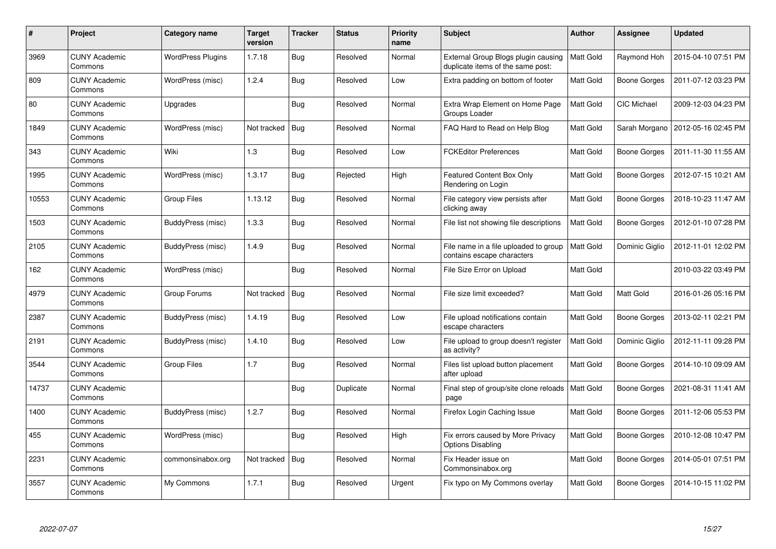| $\#$  | <b>Project</b>                  | Category name            | <b>Target</b><br>version | <b>Tracker</b> | <b>Status</b> | <b>Priority</b><br>name | <b>Subject</b>                                                           | <b>Author</b>    | Assignee            | <b>Updated</b>      |
|-------|---------------------------------|--------------------------|--------------------------|----------------|---------------|-------------------------|--------------------------------------------------------------------------|------------------|---------------------|---------------------|
| 3969  | <b>CUNY Academic</b><br>Commons | <b>WordPress Plugins</b> | 1.7.18                   | <b>Bug</b>     | Resolved      | Normal                  | External Group Blogs plugin causing<br>duplicate items of the same post: | Matt Gold        | Raymond Hoh         | 2015-04-10 07:51 PM |
| 809   | <b>CUNY Academic</b><br>Commons | WordPress (misc)         | 1.2.4                    | Bug            | Resolved      | Low                     | Extra padding on bottom of footer                                        | <b>Matt Gold</b> | <b>Boone Gorges</b> | 2011-07-12 03:23 PM |
| 80    | <b>CUNY Academic</b><br>Commons | Upgrades                 |                          | <b>Bug</b>     | Resolved      | Normal                  | Extra Wrap Element on Home Page<br>Groups Loader                         | Matt Gold        | CIC Michael         | 2009-12-03 04:23 PM |
| 1849  | <b>CUNY Academic</b><br>Commons | WordPress (misc)         | Not tracked              | <b>Bug</b>     | Resolved      | Normal                  | FAQ Hard to Read on Help Blog                                            | Matt Gold        | Sarah Morgano       | 2012-05-16 02:45 PM |
| 343   | <b>CUNY Academic</b><br>Commons | Wiki                     | 1.3                      | Bug            | Resolved      | Low                     | <b>FCKEditor Preferences</b>                                             | <b>Matt Gold</b> | Boone Gorges        | 2011-11-30 11:55 AM |
| 1995  | <b>CUNY Academic</b><br>Commons | WordPress (misc)         | 1.3.17                   | Bug            | Rejected      | High                    | Featured Content Box Only<br>Rendering on Login                          | Matt Gold        | Boone Gorges        | 2012-07-15 10:21 AM |
| 10553 | <b>CUNY Academic</b><br>Commons | <b>Group Files</b>       | 1.13.12                  | Bug            | Resolved      | Normal                  | File category view persists after<br>clicking away                       | Matt Gold        | Boone Gorges        | 2018-10-23 11:47 AM |
| 1503  | <b>CUNY Academic</b><br>Commons | BuddyPress (misc)        | 1.3.3                    | Bug            | Resolved      | Normal                  | File list not showing file descriptions                                  | Matt Gold        | Boone Gorges        | 2012-01-10 07:28 PM |
| 2105  | <b>CUNY Academic</b><br>Commons | BuddyPress (misc)        | 1.4.9                    | Bug            | Resolved      | Normal                  | File name in a file uploaded to group<br>contains escape characters      | <b>Matt Gold</b> | Dominic Giglio      | 2012-11-01 12:02 PM |
| 162   | <b>CUNY Academic</b><br>Commons | WordPress (misc)         |                          | Bug            | Resolved      | Normal                  | File Size Error on Upload                                                | Matt Gold        |                     | 2010-03-22 03:49 PM |
| 4979  | <b>CUNY Academic</b><br>Commons | Group Forums             | Not tracked              | Bug            | Resolved      | Normal                  | File size limit exceeded?                                                | Matt Gold        | Matt Gold           | 2016-01-26 05:16 PM |
| 2387  | <b>CUNY Academic</b><br>Commons | <b>BuddyPress (misc)</b> | 1.4.19                   | Bug            | Resolved      | Low                     | File upload notifications contain<br>escape characters                   | Matt Gold        | <b>Boone Gorges</b> | 2013-02-11 02:21 PM |
| 2191  | <b>CUNY Academic</b><br>Commons | BuddyPress (misc)        | 1.4.10                   | <b>Bug</b>     | Resolved      | Low                     | File upload to group doesn't register<br>as activity?                    | Matt Gold        | Dominic Giglio      | 2012-11-11 09:28 PM |
| 3544  | <b>CUNY Academic</b><br>Commons | Group Files              | 1.7                      | Bug            | Resolved      | Normal                  | Files list upload button placement<br>after upload                       | Matt Gold        | Boone Gorges        | 2014-10-10 09:09 AM |
| 14737 | <b>CUNY Academic</b><br>Commons |                          |                          | <b>Bug</b>     | Duplicate     | Normal                  | Final step of group/site clone reloads<br>page                           | Matt Gold        | <b>Boone Gorges</b> | 2021-08-31 11:41 AM |
| 1400  | <b>CUNY Academic</b><br>Commons | BuddyPress (misc)        | 1.2.7                    | <b>Bug</b>     | Resolved      | Normal                  | Firefox Login Caching Issue                                              | Matt Gold        | Boone Gorges        | 2011-12-06 05:53 PM |
| 455   | <b>CUNY Academic</b><br>Commons | WordPress (misc)         |                          | Bug            | Resolved      | High                    | Fix errors caused by More Privacy<br><b>Options Disabling</b>            | Matt Gold        | Boone Gorges        | 2010-12-08 10:47 PM |
| 2231  | <b>CUNY Academic</b><br>Commons | commonsinabox.org        | Not tracked              | Bug            | Resolved      | Normal                  | Fix Header issue on<br>Commonsinabox.org                                 | Matt Gold        | <b>Boone Gorges</b> | 2014-05-01 07:51 PM |
| 3557  | <b>CUNY Academic</b><br>Commons | My Commons               | 1.7.1                    | <b>Bug</b>     | Resolved      | Urgent                  | Fix typo on My Commons overlay                                           | Matt Gold        | Boone Gorges        | 2014-10-15 11:02 PM |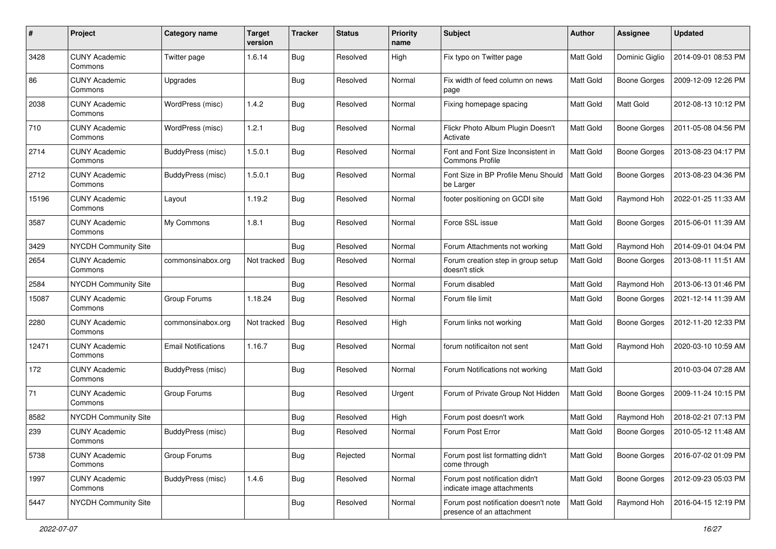| #     | Project                         | Category name              | <b>Target</b><br>version | <b>Tracker</b> | <b>Status</b> | <b>Priority</b><br>name | <b>Subject</b>                                                    | Author           | <b>Assignee</b>     | <b>Updated</b>      |
|-------|---------------------------------|----------------------------|--------------------------|----------------|---------------|-------------------------|-------------------------------------------------------------------|------------------|---------------------|---------------------|
| 3428  | <b>CUNY Academic</b><br>Commons | Twitter page               | 1.6.14                   | Bug            | Resolved      | High                    | Fix typo on Twitter page                                          | Matt Gold        | Dominic Giglio      | 2014-09-01 08:53 PM |
| 86    | <b>CUNY Academic</b><br>Commons | Upgrades                   |                          | <b>Bug</b>     | Resolved      | Normal                  | Fix width of feed column on news<br>page                          | <b>Matt Gold</b> | <b>Boone Gorges</b> | 2009-12-09 12:26 PM |
| 2038  | <b>CUNY Academic</b><br>Commons | WordPress (misc)           | 1.4.2                    | Bug            | Resolved      | Normal                  | Fixing homepage spacing                                           | <b>Matt Gold</b> | Matt Gold           | 2012-08-13 10:12 PM |
| 710   | <b>CUNY Academic</b><br>Commons | WordPress (misc)           | 1.2.1                    | Bug            | Resolved      | Normal                  | Flickr Photo Album Plugin Doesn't<br>Activate                     | <b>Matt Gold</b> | <b>Boone Gorges</b> | 2011-05-08 04:56 PM |
| 2714  | <b>CUNY Academic</b><br>Commons | BuddyPress (misc)          | 1.5.0.1                  | <b>Bug</b>     | Resolved      | Normal                  | Font and Font Size Inconsistent in<br><b>Commons Profile</b>      | <b>Matt Gold</b> | <b>Boone Gorges</b> | 2013-08-23 04:17 PM |
| 2712  | <b>CUNY Academic</b><br>Commons | <b>BuddyPress (misc)</b>   | 1.5.0.1                  | <b>Bug</b>     | Resolved      | Normal                  | Font Size in BP Profile Menu Should<br>be Larger                  | Matt Gold        | <b>Boone Gorges</b> | 2013-08-23 04:36 PM |
| 15196 | <b>CUNY Academic</b><br>Commons | Layout                     | 1.19.2                   | Bug            | Resolved      | Normal                  | footer positioning on GCDI site                                   | <b>Matt Gold</b> | Raymond Hoh         | 2022-01-25 11:33 AM |
| 3587  | <b>CUNY Academic</b><br>Commons | My Commons                 | 1.8.1                    | <b>Bug</b>     | Resolved      | Normal                  | Force SSL issue                                                   | Matt Gold        | <b>Boone Gorges</b> | 2015-06-01 11:39 AM |
| 3429  | NYCDH Community Site            |                            |                          | Bug            | Resolved      | Normal                  | Forum Attachments not working                                     | Matt Gold        | Raymond Hoh         | 2014-09-01 04:04 PM |
| 2654  | <b>CUNY Academic</b><br>Commons | commonsinabox.org          | Not tracked              | Bug            | Resolved      | Normal                  | Forum creation step in group setup<br>doesn't stick               | Matt Gold        | <b>Boone Gorges</b> | 2013-08-11 11:51 AM |
| 2584  | NYCDH Community Site            |                            |                          | Bug            | Resolved      | Normal                  | Forum disabled                                                    | Matt Gold        | Raymond Hoh         | 2013-06-13 01:46 PM |
| 15087 | <b>CUNY Academic</b><br>Commons | Group Forums               | 1.18.24                  | Bug            | Resolved      | Normal                  | Forum file limit                                                  | Matt Gold        | <b>Boone Gorges</b> | 2021-12-14 11:39 AM |
| 2280  | <b>CUNY Academic</b><br>Commons | commonsinabox.org          | Not tracked              | Bug            | Resolved      | High                    | Forum links not working                                           | <b>Matt Gold</b> | <b>Boone Gorges</b> | 2012-11-20 12:33 PM |
| 12471 | <b>CUNY Academic</b><br>Commons | <b>Email Notifications</b> | 1.16.7                   | Bug            | Resolved      | Normal                  | forum notificaiton not sent                                       | Matt Gold        | Raymond Hoh         | 2020-03-10 10:59 AM |
| 172   | <b>CUNY Academic</b><br>Commons | BuddyPress (misc)          |                          | Bug            | Resolved      | Normal                  | Forum Notifications not working                                   | <b>Matt Gold</b> |                     | 2010-03-04 07:28 AM |
| 71    | <b>CUNY Academic</b><br>Commons | Group Forums               |                          | Bug            | Resolved      | Urgent                  | Forum of Private Group Not Hidden                                 | <b>Matt Gold</b> | <b>Boone Gorges</b> | 2009-11-24 10:15 PM |
| 8582  | <b>NYCDH Community Site</b>     |                            |                          | Bug            | Resolved      | High                    | Forum post doesn't work                                           | Matt Gold        | Raymond Hoh         | 2018-02-21 07:13 PM |
| 239   | <b>CUNY Academic</b><br>Commons | BuddyPress (misc)          |                          | <b>Bug</b>     | Resolved      | Normal                  | Forum Post Error                                                  | Matt Gold        | Boone Gorges        | 2010-05-12 11:48 AM |
| 5738  | <b>CUNY Academic</b><br>Commons | Group Forums               |                          | <b>Bug</b>     | Rejected      | Normal                  | Forum post list formatting didn't<br>come through                 | Matt Gold        | <b>Boone Gorges</b> | 2016-07-02 01:09 PM |
| 1997  | <b>CUNY Academic</b><br>Commons | BuddyPress (misc)          | 1.4.6                    | <b>Bug</b>     | Resolved      | Normal                  | Forum post notification didn't<br>indicate image attachments      | Matt Gold        | Boone Gorges        | 2012-09-23 05:03 PM |
| 5447  | NYCDH Community Site            |                            |                          | <b>Bug</b>     | Resolved      | Normal                  | Forum post notification doesn't note<br>presence of an attachment | Matt Gold        | Raymond Hoh         | 2016-04-15 12:19 PM |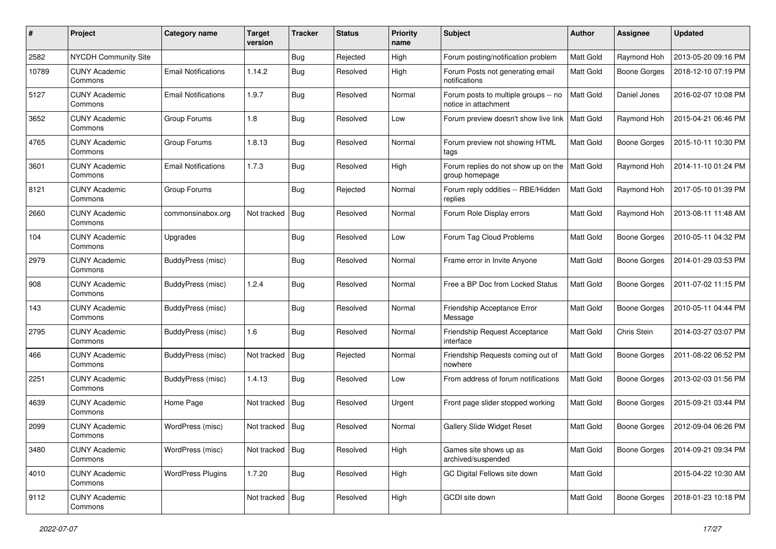| #     | Project                         | Category name              | Target<br>version | <b>Tracker</b> | <b>Status</b> | <b>Priority</b><br>name | <b>Subject</b>                                               | Author           | <b>Assignee</b>     | <b>Updated</b>      |
|-------|---------------------------------|----------------------------|-------------------|----------------|---------------|-------------------------|--------------------------------------------------------------|------------------|---------------------|---------------------|
| 2582  | <b>NYCDH Community Site</b>     |                            |                   | Bug            | Rejected      | High                    | Forum posting/notification problem                           | Matt Gold        | Raymond Hoh         | 2013-05-20 09:16 PM |
| 10789 | <b>CUNY Academic</b><br>Commons | <b>Email Notifications</b> | 1.14.2            | <b>Bug</b>     | Resolved      | High                    | Forum Posts not generating email<br>notifications            | Matt Gold        | <b>Boone Gorges</b> | 2018-12-10 07:19 PM |
| 5127  | <b>CUNY Academic</b><br>Commons | <b>Email Notifications</b> | 1.9.7             | Bug            | Resolved      | Normal                  | Forum posts to multiple groups -- no<br>notice in attachment | <b>Matt Gold</b> | Daniel Jones        | 2016-02-07 10:08 PM |
| 3652  | <b>CUNY Academic</b><br>Commons | Group Forums               | 1.8               | <b>Bug</b>     | Resolved      | Low                     | Forum preview doesn't show live link                         | <b>Matt Gold</b> | Raymond Hoh         | 2015-04-21 06:46 PM |
| 4765  | <b>CUNY Academic</b><br>Commons | Group Forums               | 1.8.13            | <b>Bug</b>     | Resolved      | Normal                  | Forum preview not showing HTML<br>tags                       | Matt Gold        | Boone Gorges        | 2015-10-11 10:30 PM |
| 3601  | <b>CUNY Academic</b><br>Commons | <b>Email Notifications</b> | 1.7.3             | Bug            | Resolved      | High                    | Forum replies do not show up on the<br>group homepage        | Matt Gold        | Raymond Hoh         | 2014-11-10 01:24 PM |
| 8121  | <b>CUNY Academic</b><br>Commons | Group Forums               |                   | Bug            | Rejected      | Normal                  | Forum reply oddities -- RBE/Hidden<br>replies                | <b>Matt Gold</b> | Raymond Hoh         | 2017-05-10 01:39 PM |
| 2660  | <b>CUNY Academic</b><br>Commons | commonsinabox.org          | Not tracked       | Bug            | Resolved      | Normal                  | Forum Role Display errors                                    | Matt Gold        | Raymond Hoh         | 2013-08-11 11:48 AM |
| 104   | CUNY Academic<br>Commons        | Upgrades                   |                   | <b>Bug</b>     | Resolved      | Low                     | Forum Tag Cloud Problems                                     | <b>Matt Gold</b> | <b>Boone Gorges</b> | 2010-05-11 04:32 PM |
| 2979  | <b>CUNY Academic</b><br>Commons | BuddyPress (misc)          |                   | Bug            | Resolved      | Normal                  | Frame error in Invite Anyone                                 | Matt Gold        | <b>Boone Gorges</b> | 2014-01-29 03:53 PM |
| 908   | <b>CUNY Academic</b><br>Commons | BuddyPress (misc)          | 1.2.4             | Bug            | Resolved      | Normal                  | Free a BP Doc from Locked Status                             | <b>Matt Gold</b> | <b>Boone Gorges</b> | 2011-07-02 11:15 PM |
| 143   | <b>CUNY Academic</b><br>Commons | BuddyPress (misc)          |                   | <b>Bug</b>     | Resolved      | Normal                  | Friendship Acceptance Error<br>Message                       | Matt Gold        | <b>Boone Gorges</b> | 2010-05-11 04:44 PM |
| 2795  | <b>CUNY Academic</b><br>Commons | BuddyPress (misc)          | 1.6               | Bug            | Resolved      | Normal                  | Friendship Request Acceptance<br>interface                   | Matt Gold        | Chris Stein         | 2014-03-27 03:07 PM |
| 466   | <b>CUNY Academic</b><br>Commons | BuddyPress (misc)          | Not tracked       | Bug            | Rejected      | Normal                  | Friendship Requests coming out of<br>nowhere                 | Matt Gold        | <b>Boone Gorges</b> | 2011-08-22 06:52 PM |
| 2251  | <b>CUNY Academic</b><br>Commons | BuddyPress (misc)          | 1.4.13            | <b>Bug</b>     | Resolved      | Low                     | From address of forum notifications                          | <b>Matt Gold</b> | <b>Boone Gorges</b> | 2013-02-03 01:56 PM |
| 4639  | CUNY Academic<br>Commons        | Home Page                  | Not tracked       | <b>Bug</b>     | Resolved      | Urgent                  | Front page slider stopped working                            | Matt Gold        | <b>Boone Gorges</b> | 2015-09-21 03:44 PM |
| 2099  | <b>CUNY Academic</b><br>Commons | WordPress (misc)           | Not tracked       | Bug            | Resolved      | Normal                  | <b>Gallery Slide Widget Reset</b>                            | Matt Gold        | <b>Boone Gorges</b> | 2012-09-04 06:26 PM |
| 3480  | <b>CUNY Academic</b><br>Commons | WordPress (misc)           | Not tracked       | Bug            | Resolved      | High                    | Games site shows up as<br>archived/suspended                 | Matt Gold        | <b>Boone Gorges</b> | 2014-09-21 09:34 PM |
| 4010  | <b>CUNY Academic</b><br>Commons | <b>WordPress Plugins</b>   | 1.7.20            | <b>Bug</b>     | Resolved      | High                    | GC Digital Fellows site down                                 | Matt Gold        |                     | 2015-04-22 10:30 AM |
| 9112  | <b>CUNY Academic</b><br>Commons |                            | Not tracked       | <b>Bug</b>     | Resolved      | High                    | GCDI site down                                               | Matt Gold        | <b>Boone Gorges</b> | 2018-01-23 10:18 PM |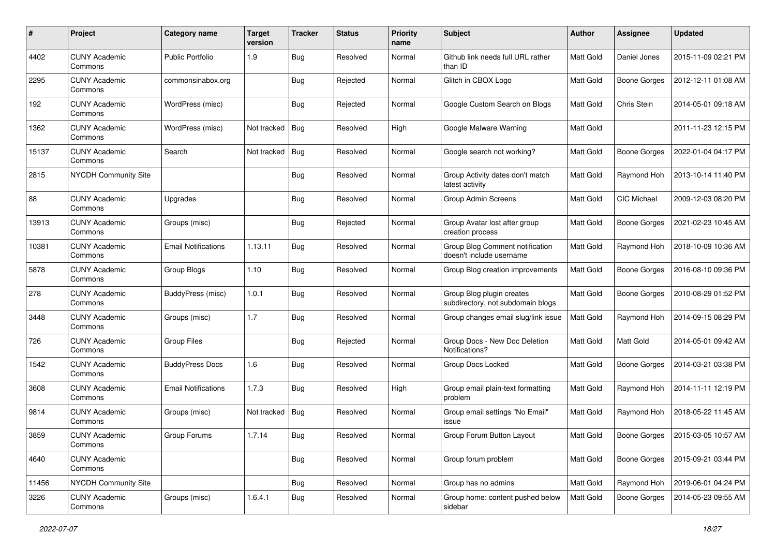| #     | Project                         | Category name              | <b>Target</b><br>version | <b>Tracker</b> | <b>Status</b> | <b>Priority</b><br>name | Subject                                                        | Author           | <b>Assignee</b>     | <b>Updated</b>      |
|-------|---------------------------------|----------------------------|--------------------------|----------------|---------------|-------------------------|----------------------------------------------------------------|------------------|---------------------|---------------------|
| 4402  | <b>CUNY Academic</b><br>Commons | <b>Public Portfolio</b>    | 1.9                      | Bug            | Resolved      | Normal                  | Github link needs full URL rather<br>than ID                   | Matt Gold        | Daniel Jones        | 2015-11-09 02:21 PM |
| 2295  | <b>CUNY Academic</b><br>Commons | commonsinabox.org          |                          | Bug            | Rejected      | Normal                  | Glitch in CBOX Logo                                            | Matt Gold        | <b>Boone Gorges</b> | 2012-12-11 01:08 AM |
| 192   | <b>CUNY Academic</b><br>Commons | WordPress (misc)           |                          | <b>Bug</b>     | Rejected      | Normal                  | Google Custom Search on Blogs                                  | <b>Matt Gold</b> | Chris Stein         | 2014-05-01 09:18 AM |
| 1362  | <b>CUNY Academic</b><br>Commons | WordPress (misc)           | Not tracked              | Bug            | Resolved      | High                    | Google Malware Warning                                         | <b>Matt Gold</b> |                     | 2011-11-23 12:15 PM |
| 15137 | <b>CUNY Academic</b><br>Commons | Search                     | Not tracked              | Bug            | Resolved      | Normal                  | Google search not working?                                     | <b>Matt Gold</b> | <b>Boone Gorges</b> | 2022-01-04 04:17 PM |
| 2815  | NYCDH Community Site            |                            |                          | Bug            | Resolved      | Normal                  | Group Activity dates don't match<br>latest activity            | Matt Gold        | Raymond Hoh         | 2013-10-14 11:40 PM |
| 88    | <b>CUNY Academic</b><br>Commons | Upgrades                   |                          | Bug            | Resolved      | Normal                  | Group Admin Screens                                            | <b>Matt Gold</b> | <b>CIC Michael</b>  | 2009-12-03 08:20 PM |
| 13913 | <b>CUNY Academic</b><br>Commons | Groups (misc)              |                          | Bug            | Rejected      | Normal                  | Group Avatar lost after group<br>creation process              | Matt Gold        | <b>Boone Gorges</b> | 2021-02-23 10:45 AM |
| 10381 | <b>CUNY Academic</b><br>Commons | <b>Email Notifications</b> | 1.13.11                  | <b>Bug</b>     | Resolved      | Normal                  | Group Blog Comment notification<br>doesn't include username    | Matt Gold        | Raymond Hoh         | 2018-10-09 10:36 AM |
| 5878  | <b>CUNY Academic</b><br>Commons | Group Blogs                | 1.10                     | <b>Bug</b>     | Resolved      | Normal                  | Group Blog creation improvements                               | Matt Gold        | <b>Boone Gorges</b> | 2016-08-10 09:36 PM |
| 278   | <b>CUNY Academic</b><br>Commons | BuddyPress (misc)          | 1.0.1                    | <b>Bug</b>     | Resolved      | Normal                  | Group Blog plugin creates<br>subdirectory, not subdomain blogs | Matt Gold        | <b>Boone Gorges</b> | 2010-08-29 01:52 PM |
| 3448  | <b>CUNY Academic</b><br>Commons | Groups (misc)              | 1.7                      | <b>Bug</b>     | Resolved      | Normal                  | Group changes email slug/link issue                            | Matt Gold        | Raymond Hoh         | 2014-09-15 08:29 PM |
| 726   | <b>CUNY Academic</b><br>Commons | <b>Group Files</b>         |                          | Bug            | Rejected      | Normal                  | Group Docs - New Doc Deletion<br>Notifications?                | Matt Gold        | Matt Gold           | 2014-05-01 09:42 AM |
| 1542  | <b>CUNY Academic</b><br>Commons | <b>BuddyPress Docs</b>     | 1.6                      | Bug            | Resolved      | Normal                  | Group Docs Locked                                              | <b>Matt Gold</b> | <b>Boone Gorges</b> | 2014-03-21 03:38 PM |
| 3608  | <b>CUNY Academic</b><br>Commons | <b>Email Notifications</b> | 1.7.3                    | Bug            | Resolved      | High                    | Group email plain-text formatting<br>problem                   | Matt Gold        | Raymond Hoh         | 2014-11-11 12:19 PM |
| 9814  | <b>CUNY Academic</b><br>Commons | Groups (misc)              | Not tracked              | Bug            | Resolved      | Normal                  | Group email settings "No Email"<br>issue                       | Matt Gold        | Raymond Hoh         | 2018-05-22 11:45 AM |
| 3859  | <b>CUNY Academic</b><br>Commons | Group Forums               | 1.7.14                   | Bug            | Resolved      | Normal                  | Group Forum Button Layout                                      | Matt Gold        | <b>Boone Gorges</b> | 2015-03-05 10:57 AM |
| 4640  | <b>CUNY Academic</b><br>Commons |                            |                          | <b>Bug</b>     | Resolved      | Normal                  | Group forum problem                                            | Matt Gold        | Boone Gorges        | 2015-09-21 03:44 PM |
| 11456 | NYCDH Community Site            |                            |                          | Bug            | Resolved      | Normal                  | Group has no admins                                            | Matt Gold        | Raymond Hoh         | 2019-06-01 04:24 PM |
| 3226  | <b>CUNY Academic</b><br>Commons | Groups (misc)              | 1.6.4.1                  | Bug            | Resolved      | Normal                  | Group home: content pushed below<br>sidebar                    | Matt Gold        | <b>Boone Gorges</b> | 2014-05-23 09:55 AM |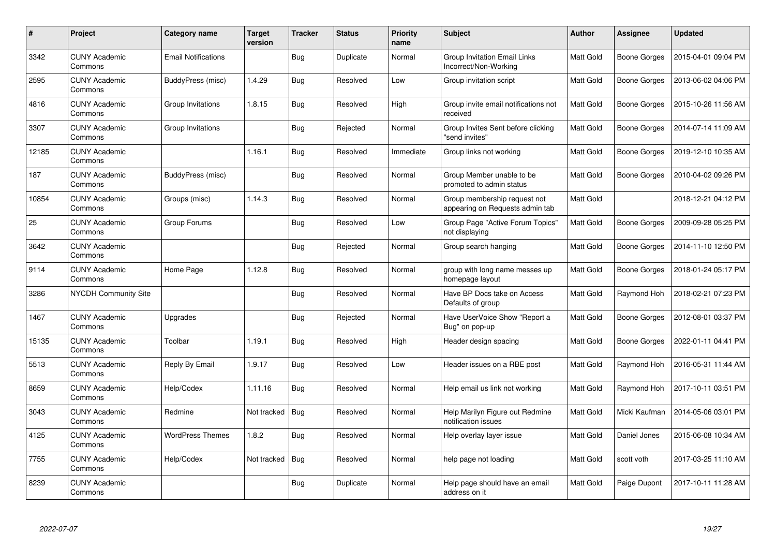| $\#$  | Project                         | Category name              | <b>Target</b><br>version | <b>Tracker</b> | <b>Status</b> | <b>Priority</b><br>name | <b>Subject</b>                                                  | <b>Author</b>    | Assignee            | <b>Updated</b>      |
|-------|---------------------------------|----------------------------|--------------------------|----------------|---------------|-------------------------|-----------------------------------------------------------------|------------------|---------------------|---------------------|
| 3342  | <b>CUNY Academic</b><br>Commons | <b>Email Notifications</b> |                          | <b>Bug</b>     | Duplicate     | Normal                  | <b>Group Invitation Email Links</b><br>Incorrect/Non-Working    | Matt Gold        | Boone Gorges        | 2015-04-01 09:04 PM |
| 2595  | <b>CUNY Academic</b><br>Commons | BuddyPress (misc)          | 1.4.29                   | Bug            | Resolved      | Low                     | Group invitation script                                         | <b>Matt Gold</b> | <b>Boone Gorges</b> | 2013-06-02 04:06 PM |
| 4816  | <b>CUNY Academic</b><br>Commons | Group Invitations          | 1.8.15                   | Bug            | Resolved      | High                    | Group invite email notifications not<br>received                | Matt Gold        | <b>Boone Gorges</b> | 2015-10-26 11:56 AM |
| 3307  | <b>CUNY Academic</b><br>Commons | Group Invitations          |                          | <b>Bug</b>     | Rejected      | Normal                  | Group Invites Sent before clicking<br>"send invites"            | Matt Gold        | <b>Boone Gorges</b> | 2014-07-14 11:09 AM |
| 12185 | <b>CUNY Academic</b><br>Commons |                            | 1.16.1                   | Bug            | Resolved      | Immediate               | Group links not working                                         | <b>Matt Gold</b> | Boone Gorges        | 2019-12-10 10:35 AM |
| 187   | <b>CUNY Academic</b><br>Commons | BuddyPress (misc)          |                          | Bug            | Resolved      | Normal                  | Group Member unable to be<br>promoted to admin status           | Matt Gold        | Boone Gorges        | 2010-04-02 09:26 PM |
| 10854 | <b>CUNY Academic</b><br>Commons | Groups (misc)              | 1.14.3                   | Bug            | Resolved      | Normal                  | Group membership request not<br>appearing on Requests admin tab | <b>Matt Gold</b> |                     | 2018-12-21 04:12 PM |
| 25    | <b>CUNY Academic</b><br>Commons | Group Forums               |                          | <b>Bug</b>     | Resolved      | Low                     | Group Page "Active Forum Topics"<br>not displaying              | Matt Gold        | Boone Gorges        | 2009-09-28 05:25 PM |
| 3642  | <b>CUNY Academic</b><br>Commons |                            |                          | <b>Bug</b>     | Rejected      | Normal                  | Group search hanging                                            | Matt Gold        | <b>Boone Gorges</b> | 2014-11-10 12:50 PM |
| 9114  | <b>CUNY Academic</b><br>Commons | Home Page                  | 1.12.8                   | Bug            | Resolved      | Normal                  | group with long name messes up<br>homepage layout               | <b>Matt Gold</b> | Boone Gorges        | 2018-01-24 05:17 PM |
| 3286  | <b>NYCDH Community Site</b>     |                            |                          | <b>Bug</b>     | Resolved      | Normal                  | Have BP Docs take on Access<br>Defaults of group                | Matt Gold        | Raymond Hoh         | 2018-02-21 07:23 PM |
| 1467  | <b>CUNY Academic</b><br>Commons | Upgrades                   |                          | Bug            | Rejected      | Normal                  | Have UserVoice Show "Report a<br>Bug" on pop-up                 | Matt Gold        | Boone Gorges        | 2012-08-01 03:37 PM |
| 15135 | <b>CUNY Academic</b><br>Commons | Toolbar                    | 1.19.1                   | Bug            | Resolved      | High                    | Header design spacing                                           | Matt Gold        | Boone Gorges        | 2022-01-11 04:41 PM |
| 5513  | <b>CUNY Academic</b><br>Commons | Reply By Email             | 1.9.17                   | Bug            | Resolved      | Low                     | Header issues on a RBE post                                     | Matt Gold        | Raymond Hoh         | 2016-05-31 11:44 AM |
| 8659  | <b>CUNY Academic</b><br>Commons | Help/Codex                 | 1.11.16                  | <b>Bug</b>     | Resolved      | Normal                  | Help email us link not working                                  | Matt Gold        | Raymond Hoh         | 2017-10-11 03:51 PM |
| 3043  | <b>CUNY Academic</b><br>Commons | Redmine                    | Not tracked              | Bug            | Resolved      | Normal                  | Help Marilyn Figure out Redmine<br>notification issues          | Matt Gold        | Micki Kaufman       | 2014-05-06 03:01 PM |
| 4125  | <b>CUNY Academic</b><br>Commons | <b>WordPress Themes</b>    | 1.8.2                    | Bug            | Resolved      | Normal                  | Help overlay layer issue                                        | Matt Gold        | Daniel Jones        | 2015-06-08 10:34 AM |
| 7755  | <b>CUNY Academic</b><br>Commons | Help/Codex                 | Not tracked              | Bug            | Resolved      | Normal                  | help page not loading                                           | Matt Gold        | scott voth          | 2017-03-25 11:10 AM |
| 8239  | <b>CUNY Academic</b><br>Commons |                            |                          | <b>Bug</b>     | Duplicate     | Normal                  | Help page should have an email<br>address on it                 | Matt Gold        | Paige Dupont        | 2017-10-11 11:28 AM |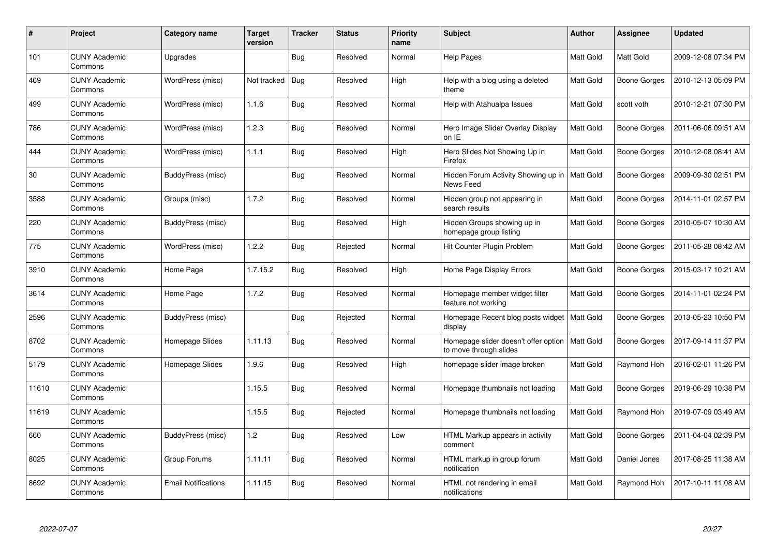| $\#$  | <b>Project</b>                  | Category name              | <b>Target</b><br>version | <b>Tracker</b> | <b>Status</b> | <b>Priority</b><br>name | <b>Subject</b>                                                             | <b>Author</b>    | Assignee            | <b>Updated</b>      |
|-------|---------------------------------|----------------------------|--------------------------|----------------|---------------|-------------------------|----------------------------------------------------------------------------|------------------|---------------------|---------------------|
| 101   | <b>CUNY Academic</b><br>Commons | Upgrades                   |                          | <b>Bug</b>     | Resolved      | Normal                  | <b>Help Pages</b>                                                          | Matt Gold        | Matt Gold           | 2009-12-08 07:34 PM |
| 469   | <b>CUNY Academic</b><br>Commons | WordPress (misc)           | Not tracked              | <b>Bug</b>     | Resolved      | High                    | Help with a blog using a deleted<br>theme                                  | <b>Matt Gold</b> | <b>Boone Gorges</b> | 2010-12-13 05:09 PM |
| 499   | <b>CUNY Academic</b><br>Commons | WordPress (misc)           | 1.1.6                    | Bug            | Resolved      | Normal                  | Help with Atahualpa Issues                                                 | Matt Gold        | scott voth          | 2010-12-21 07:30 PM |
| 786   | <b>CUNY Academic</b><br>Commons | WordPress (misc)           | 1.2.3                    | Bug            | Resolved      | Normal                  | Hero Image Slider Overlay Display<br>on IE                                 | Matt Gold        | <b>Boone Gorges</b> | 2011-06-06 09:51 AM |
| 444   | <b>CUNY Academic</b><br>Commons | WordPress (misc)           | 1.1.1                    | <b>Bug</b>     | Resolved      | High                    | Hero Slides Not Showing Up in<br>Firefox                                   | Matt Gold        | Boone Gorges        | 2010-12-08 08:41 AM |
| 30    | <b>CUNY Academic</b><br>Commons | BuddyPress (misc)          |                          | Bug            | Resolved      | Normal                  | Hidden Forum Activity Showing up in<br>News Feed                           | <b>Matt Gold</b> | Boone Gorges        | 2009-09-30 02:51 PM |
| 3588  | <b>CUNY Academic</b><br>Commons | Groups (misc)              | 1.7.2                    | <b>Bug</b>     | Resolved      | Normal                  | Hidden group not appearing in<br>search results                            | Matt Gold        | <b>Boone Gorges</b> | 2014-11-01 02:57 PM |
| 220   | <b>CUNY Academic</b><br>Commons | BuddyPress (misc)          |                          | Bug            | Resolved      | High                    | Hidden Groups showing up in<br>homepage group listing                      | Matt Gold        | Boone Gorges        | 2010-05-07 10:30 AM |
| 775   | <b>CUNY Academic</b><br>Commons | WordPress (misc)           | 1.2.2                    | Bug            | Rejected      | Normal                  | Hit Counter Plugin Problem                                                 | Matt Gold        | <b>Boone Gorges</b> | 2011-05-28 08:42 AM |
| 3910  | <b>CUNY Academic</b><br>Commons | Home Page                  | 1.7.15.2                 | Bug            | Resolved      | High                    | Home Page Display Errors                                                   | Matt Gold        | Boone Gorges        | 2015-03-17 10:21 AM |
| 3614  | <b>CUNY Academic</b><br>Commons | Home Page                  | 1.7.2                    | Bug            | Resolved      | Normal                  | Homepage member widget filter<br>feature not working                       | Matt Gold        | <b>Boone Gorges</b> | 2014-11-01 02:24 PM |
| 2596  | <b>CUNY Academic</b><br>Commons | BuddyPress (misc)          |                          | Bug            | Rejected      | Normal                  | Homepage Recent blog posts widget<br>display                               | Matt Gold        | Boone Gorges        | 2013-05-23 10:50 PM |
| 8702  | <b>CUNY Academic</b><br>Commons | Homepage Slides            | 1.11.13                  | Bug            | Resolved      | Normal                  | Homepage slider doesn't offer option   Matt Gold<br>to move through slides |                  | Boone Gorges        | 2017-09-14 11:37 PM |
| 5179  | <b>CUNY Academic</b><br>Commons | Homepage Slides            | 1.9.6                    | <b>Bug</b>     | Resolved      | High                    | homepage slider image broken                                               | Matt Gold        | Raymond Hoh         | 2016-02-01 11:26 PM |
| 11610 | <b>CUNY Academic</b><br>Commons |                            | 1.15.5                   | Bug            | Resolved      | Normal                  | Homepage thumbnails not loading                                            | Matt Gold        | Boone Gorges        | 2019-06-29 10:38 PM |
| 11619 | <b>CUNY Academic</b><br>Commons |                            | 1.15.5                   | <b>Bug</b>     | Rejected      | Normal                  | Homepage thumbnails not loading                                            | Matt Gold        | Raymond Hoh         | 2019-07-09 03:49 AM |
| 660   | <b>CUNY Academic</b><br>Commons | BuddyPress (misc)          | 1.2                      | <b>Bug</b>     | Resolved      | Low                     | HTML Markup appears in activity<br>comment                                 | Matt Gold        | <b>Boone Gorges</b> | 2011-04-04 02:39 PM |
| 8025  | <b>CUNY Academic</b><br>Commons | Group Forums               | 1.11.11                  | Bug            | Resolved      | Normal                  | HTML markup in group forum<br>notification                                 | Matt Gold        | Daniel Jones        | 2017-08-25 11:38 AM |
| 8692  | <b>CUNY Academic</b><br>Commons | <b>Email Notifications</b> | 1.11.15                  | Bug            | Resolved      | Normal                  | HTML not rendering in email<br>notifications                               | <b>Matt Gold</b> | Raymond Hoh         | 2017-10-11 11:08 AM |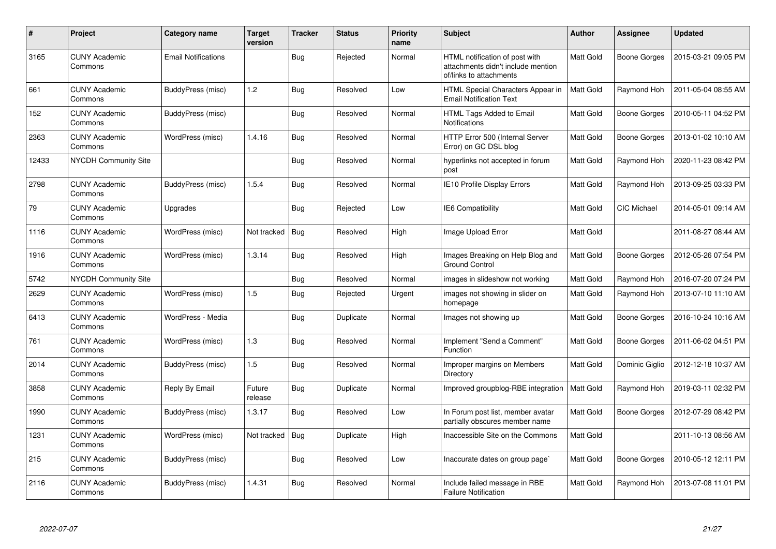| #     | Project                         | Category name              | Target<br>version | <b>Tracker</b> | <b>Status</b> | <b>Priority</b><br>name | Subject                                                                                         | Author           | Assignee            | <b>Updated</b>      |
|-------|---------------------------------|----------------------------|-------------------|----------------|---------------|-------------------------|-------------------------------------------------------------------------------------------------|------------------|---------------------|---------------------|
| 3165  | <b>CUNY Academic</b><br>Commons | <b>Email Notifications</b> |                   | <b>Bug</b>     | Rejected      | Normal                  | HTML notification of post with<br>attachments didn't include mention<br>of/links to attachments | Matt Gold        | <b>Boone Gorges</b> | 2015-03-21 09:05 PM |
| 661   | <b>CUNY Academic</b><br>Commons | <b>BuddyPress (misc)</b>   | 1.2               | <b>Bug</b>     | Resolved      | Low                     | HTML Special Characters Appear in<br><b>Email Notification Text</b>                             | Matt Gold        | Raymond Hoh         | 2011-05-04 08:55 AM |
| 152   | <b>CUNY Academic</b><br>Commons | BuddyPress (misc)          |                   | <b>Bug</b>     | Resolved      | Normal                  | HTML Tags Added to Email<br>Notifications                                                       | Matt Gold        | <b>Boone Gorges</b> | 2010-05-11 04:52 PM |
| 2363  | <b>CUNY Academic</b><br>Commons | WordPress (misc)           | 1.4.16            | <b>Bug</b>     | Resolved      | Normal                  | HTTP Error 500 (Internal Server<br>Error) on GC DSL blog                                        | Matt Gold        | <b>Boone Gorges</b> | 2013-01-02 10:10 AM |
| 12433 | <b>NYCDH Community Site</b>     |                            |                   | Bug            | Resolved      | Normal                  | hyperlinks not accepted in forum<br>post                                                        | Matt Gold        | Raymond Hoh         | 2020-11-23 08:42 PM |
| 2798  | <b>CUNY Academic</b><br>Commons | <b>BuddyPress (misc)</b>   | 1.5.4             | <b>Bug</b>     | Resolved      | Normal                  | IE10 Profile Display Errors                                                                     | Matt Gold        | Raymond Hoh         | 2013-09-25 03:33 PM |
| 79    | <b>CUNY Academic</b><br>Commons | Upgrades                   |                   | Bug            | Rejected      | Low                     | <b>IE6 Compatibility</b>                                                                        | <b>Matt Gold</b> | CIC Michael         | 2014-05-01 09:14 AM |
| 1116  | <b>CUNY Academic</b><br>Commons | WordPress (misc)           | Not tracked       | Bug            | Resolved      | High                    | Image Upload Error                                                                              | Matt Gold        |                     | 2011-08-27 08:44 AM |
| 1916  | <b>CUNY Academic</b><br>Commons | WordPress (misc)           | 1.3.14            | Bug            | Resolved      | High                    | Images Breaking on Help Blog and<br><b>Ground Control</b>                                       | Matt Gold        | <b>Boone Gorges</b> | 2012-05-26 07:54 PM |
| 5742  | <b>NYCDH Community Site</b>     |                            |                   | Bug            | Resolved      | Normal                  | images in slideshow not working                                                                 | Matt Gold        | Raymond Hoh         | 2016-07-20 07:24 PM |
| 2629  | <b>CUNY Academic</b><br>Commons | WordPress (misc)           | 1.5               | <b>Bug</b>     | Rejected      | Urgent                  | images not showing in slider on<br>homepage                                                     | Matt Gold        | Raymond Hoh         | 2013-07-10 11:10 AM |
| 6413  | <b>CUNY Academic</b><br>Commons | WordPress - Media          |                   | Bug            | Duplicate     | Normal                  | Images not showing up                                                                           | Matt Gold        | Boone Gorges        | 2016-10-24 10:16 AM |
| 761   | <b>CUNY Academic</b><br>Commons | WordPress (misc)           | 1.3               | Bug            | Resolved      | Normal                  | Implement "Send a Comment"<br><b>Function</b>                                                   | <b>Matt Gold</b> | Boone Gorges        | 2011-06-02 04:51 PM |
| 2014  | <b>CUNY Academic</b><br>Commons | BuddyPress (misc)          | 1.5               | Bug            | Resolved      | Normal                  | Improper margins on Members<br>Directory                                                        | Matt Gold        | Dominic Giglio      | 2012-12-18 10:37 AM |
| 3858  | <b>CUNY Academic</b><br>Commons | Reply By Email             | Future<br>release | <b>Bug</b>     | Duplicate     | Normal                  | Improved groupblog-RBE integration                                                              | Matt Gold        | Raymond Hoh         | 2019-03-11 02:32 PM |
| 1990  | <b>CUNY Academic</b><br>Commons | BuddyPress (misc)          | 1.3.17            | <b>Bug</b>     | Resolved      | Low                     | In Forum post list, member avatar<br>partially obscures member name                             | Matt Gold        | <b>Boone Gorges</b> | 2012-07-29 08:42 PM |
| 1231  | <b>CUNY Academic</b><br>Commons | WordPress (misc)           | Not tracked       | <b>Bug</b>     | Duplicate     | High                    | Inaccessible Site on the Commons                                                                | Matt Gold        |                     | 2011-10-13 08:56 AM |
| 215   | <b>CUNY Academic</b><br>Commons | BuddyPress (misc)          |                   | Bug            | Resolved      | Low                     | Inaccurate dates on group page`                                                                 | Matt Gold        | <b>Boone Gorges</b> | 2010-05-12 12:11 PM |
| 2116  | <b>CUNY Academic</b><br>Commons | BuddyPress (misc)          | 1.4.31            | <b>Bug</b>     | Resolved      | Normal                  | Include failed message in RBE<br><b>Failure Notification</b>                                    | Matt Gold        | Raymond Hoh         | 2013-07-08 11:01 PM |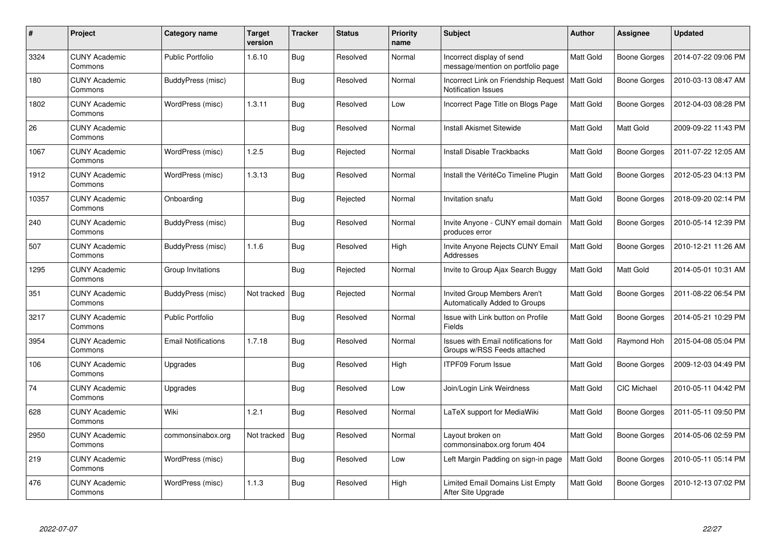| #     | Project                         | <b>Category name</b>       | Target<br>version | <b>Tracker</b> | <b>Status</b> | <b>Priority</b><br>name | <b>Subject</b>                                                            | <b>Author</b>    | Assignee     | <b>Updated</b>      |
|-------|---------------------------------|----------------------------|-------------------|----------------|---------------|-------------------------|---------------------------------------------------------------------------|------------------|--------------|---------------------|
| 3324  | <b>CUNY Academic</b><br>Commons | <b>Public Portfolio</b>    | 1.6.10            | <b>Bug</b>     | Resolved      | Normal                  | Incorrect display of send<br>message/mention on portfolio page            | Matt Gold        | Boone Gorges | 2014-07-22 09:06 PM |
| 180   | <b>CUNY Academic</b><br>Commons | BuddyPress (misc)          |                   | Bug            | Resolved      | Normal                  | Incorrect Link on Friendship Request<br><b>Notification Issues</b>        | Matt Gold        | Boone Gorges | 2010-03-13 08:47 AM |
| 1802  | <b>CUNY Academic</b><br>Commons | WordPress (misc)           | 1.3.11            | <b>Bug</b>     | Resolved      | Low                     | Incorrect Page Title on Blogs Page                                        | Matt Gold        | Boone Gorges | 2012-04-03 08:28 PM |
| 26    | <b>CUNY Academic</b><br>Commons |                            |                   | <b>Bug</b>     | Resolved      | Normal                  | Install Akismet Sitewide                                                  | Matt Gold        | Matt Gold    | 2009-09-22 11:43 PM |
| 1067  | <b>CUNY Academic</b><br>Commons | WordPress (misc)           | 1.2.5             | Bug            | Rejected      | Normal                  | <b>Install Disable Trackbacks</b>                                         | Matt Gold        | Boone Gorges | 2011-07-22 12:05 AM |
| 1912  | <b>CUNY Academic</b><br>Commons | WordPress (misc)           | 1.3.13            | <b>Bug</b>     | Resolved      | Normal                  | Install the VéritéCo Timeline Plugin                                      | Matt Gold        | Boone Gorges | 2012-05-23 04:13 PM |
| 10357 | <b>CUNY Academic</b><br>Commons | Onboarding                 |                   | <b>Bug</b>     | Rejected      | Normal                  | Invitation snafu                                                          | Matt Gold        | Boone Gorges | 2018-09-20 02:14 PM |
| 240   | <b>CUNY Academic</b><br>Commons | BuddyPress (misc)          |                   | Bug            | Resolved      | Normal                  | Invite Anyone - CUNY email domain<br>produces error                       | Matt Gold        | Boone Gorges | 2010-05-14 12:39 PM |
| 507   | <b>CUNY Academic</b><br>Commons | BuddyPress (misc)          | 1.1.6             | Bug            | Resolved      | High                    | Invite Anyone Rejects CUNY Email<br>Addresses                             | <b>Matt Gold</b> | Boone Gorges | 2010-12-21 11:26 AM |
| 1295  | <b>CUNY Academic</b><br>Commons | Group Invitations          |                   | <b>Bug</b>     | Rejected      | Normal                  | Invite to Group Ajax Search Buggy                                         | Matt Gold        | Matt Gold    | 2014-05-01 10:31 AM |
| 351   | <b>CUNY Academic</b><br>Commons | BuddyPress (misc)          | Not tracked       | <b>Bug</b>     | Rejected      | Normal                  | Invited Group Members Aren't<br>Automatically Added to Groups             | Matt Gold        | Boone Gorges | 2011-08-22 06:54 PM |
| 3217  | <b>CUNY Academic</b><br>Commons | <b>Public Portfolio</b>    |                   | <b>Bug</b>     | Resolved      | Normal                  | Issue with Link button on Profile<br>Fields                               | Matt Gold        | Boone Gorges | 2014-05-21 10:29 PM |
| 3954  | <b>CUNY Academic</b><br>Commons | <b>Email Notifications</b> | 1.7.18            | Bug            | Resolved      | Normal                  | <b>Issues with Email notifications for</b><br>Groups w/RSS Feeds attached | Matt Gold        | Raymond Hoh  | 2015-04-08 05:04 PM |
| 106   | <b>CUNY Academic</b><br>Commons | Upgrades                   |                   | Bug            | Resolved      | High                    | <b>ITPF09 Forum Issue</b>                                                 | Matt Gold        | Boone Gorges | 2009-12-03 04:49 PM |
| 74    | <b>CUNY Academic</b><br>Commons | Upgrades                   |                   | Bug            | Resolved      | Low                     | Join/Login Link Weirdness                                                 | Matt Gold        | CIC Michael  | 2010-05-11 04:42 PM |
| 628   | CUNY Academic<br>Commons        | Wiki                       | 1.2.1             | Bug            | Resolved      | Normal                  | LaTeX support for MediaWiki                                               | Matt Gold        | Boone Gorges | 2011-05-11 09:50 PM |
| 2950  | <b>CUNY Academic</b><br>Commons | commonsinabox.org          | Not tracked       | Bug            | Resolved      | Normal                  | Layout broken on<br>commonsinabox.org forum 404                           | Matt Gold        | Boone Gorges | 2014-05-06 02:59 PM |
| 219   | <b>CUNY Academic</b><br>Commons | WordPress (misc)           |                   | Bug            | Resolved      | Low                     | Left Margin Padding on sign-in page                                       | <b>Matt Gold</b> | Boone Gorges | 2010-05-11 05:14 PM |
| 476   | <b>CUNY Academic</b><br>Commons | WordPress (misc)           | 1.1.3             | Bug            | Resolved      | High                    | Limited Email Domains List Empty<br>After Site Upgrade                    | Matt Gold        | Boone Gorges | 2010-12-13 07:02 PM |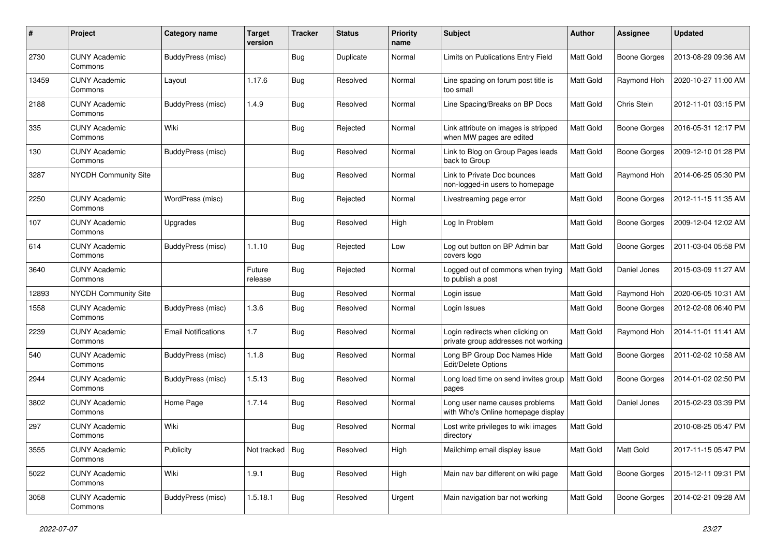| $\#$  | Project                         | Category name              | <b>Target</b><br>version | <b>Tracker</b> | <b>Status</b> | <b>Priority</b><br>name | Subject                                                                 | Author           | Assignee            | <b>Updated</b>      |
|-------|---------------------------------|----------------------------|--------------------------|----------------|---------------|-------------------------|-------------------------------------------------------------------------|------------------|---------------------|---------------------|
| 2730  | <b>CUNY Academic</b><br>Commons | BuddyPress (misc)          |                          | <b>Bug</b>     | Duplicate     | Normal                  | Limits on Publications Entry Field                                      | Matt Gold        | <b>Boone Gorges</b> | 2013-08-29 09:36 AM |
| 13459 | <b>CUNY Academic</b><br>Commons | Layout                     | 1.17.6                   | <b>Bug</b>     | Resolved      | Normal                  | Line spacing on forum post title is<br>too small                        | <b>Matt Gold</b> | Raymond Hoh         | 2020-10-27 11:00 AM |
| 2188  | <b>CUNY Academic</b><br>Commons | BuddyPress (misc)          | 1.4.9                    | <b>Bug</b>     | Resolved      | Normal                  | Line Spacing/Breaks on BP Docs                                          | <b>Matt Gold</b> | Chris Stein         | 2012-11-01 03:15 PM |
| 335   | <b>CUNY Academic</b><br>Commons | Wiki                       |                          | Bug            | Rejected      | Normal                  | Link attribute on images is stripped<br>when MW pages are edited        | Matt Gold        | <b>Boone Gorges</b> | 2016-05-31 12:17 PM |
| 130   | <b>CUNY Academic</b><br>Commons | BuddyPress (misc)          |                          | Bug            | Resolved      | Normal                  | Link to Blog on Group Pages leads<br>back to Group                      | Matt Gold        | <b>Boone Gorges</b> | 2009-12-10 01:28 PM |
| 3287  | NYCDH Community Site            |                            |                          | Bug            | Resolved      | Normal                  | Link to Private Doc bounces<br>non-logged-in users to homepage          | Matt Gold        | Raymond Hoh         | 2014-06-25 05:30 PM |
| 2250  | <b>CUNY Academic</b><br>Commons | WordPress (misc)           |                          | Bug            | Rejected      | Normal                  | Livestreaming page error                                                | Matt Gold        | <b>Boone Gorges</b> | 2012-11-15 11:35 AM |
| 107   | <b>CUNY Academic</b><br>Commons | Upgrades                   |                          | <b>Bug</b>     | Resolved      | High                    | Log In Problem                                                          | Matt Gold        | <b>Boone Gorges</b> | 2009-12-04 12:02 AM |
| 614   | <b>CUNY Academic</b><br>Commons | BuddyPress (misc)          | 1.1.10                   | Bug            | Rejected      | Low                     | Log out button on BP Admin bar<br>covers logo                           | Matt Gold        | <b>Boone Gorges</b> | 2011-03-04 05:58 PM |
| 3640  | <b>CUNY Academic</b><br>Commons |                            | Future<br>release        | <b>Bug</b>     | Rejected      | Normal                  | Logged out of commons when trying<br>to publish a post                  | Matt Gold        | Daniel Jones        | 2015-03-09 11:27 AM |
| 12893 | <b>NYCDH Community Site</b>     |                            |                          | <b>Bug</b>     | Resolved      | Normal                  | Login issue                                                             | Matt Gold        | Raymond Hoh         | 2020-06-05 10:31 AM |
| 1558  | <b>CUNY Academic</b><br>Commons | BuddyPress (misc)          | 1.3.6                    | Bug            | Resolved      | Normal                  | Login Issues                                                            | Matt Gold        | <b>Boone Gorges</b> | 2012-02-08 06:40 PM |
| 2239  | <b>CUNY Academic</b><br>Commons | <b>Email Notifications</b> | 1.7                      | <b>Bug</b>     | Resolved      | Normal                  | Login redirects when clicking on<br>private group addresses not working | Matt Gold        | Raymond Hoh         | 2014-11-01 11:41 AM |
| 540   | <b>CUNY Academic</b><br>Commons | BuddyPress (misc)          | 1.1.8                    | <b>Bug</b>     | Resolved      | Normal                  | Long BP Group Doc Names Hide<br>Edit/Delete Options                     | Matt Gold        | <b>Boone Gorges</b> | 2011-02-02 10:58 AM |
| 2944  | <b>CUNY Academic</b><br>Commons | BuddyPress (misc)          | 1.5.13                   | <b>Bug</b>     | Resolved      | Normal                  | Long load time on send invites group<br>pages                           | Matt Gold        | <b>Boone Gorges</b> | 2014-01-02 02:50 PM |
| 3802  | <b>CUNY Academic</b><br>Commons | Home Page                  | 1.7.14                   | <b>Bug</b>     | Resolved      | Normal                  | Long user name causes problems<br>with Who's Online homepage display    | Matt Gold        | Daniel Jones        | 2015-02-23 03:39 PM |
| 297   | <b>CUNY Academic</b><br>Commons | Wiki                       |                          | Bug            | Resolved      | Normal                  | Lost write privileges to wiki images<br>directory                       | Matt Gold        |                     | 2010-08-25 05:47 PM |
| 3555  | <b>CUNY Academic</b><br>Commons | Publicity                  | Not tracked              | <b>Bug</b>     | Resolved      | High                    | Mailchimp email display issue                                           | Matt Gold        | Matt Gold           | 2017-11-15 05:47 PM |
| 5022  | <b>CUNY Academic</b><br>Commons | Wiki                       | 1.9.1                    | <b>Bug</b>     | Resolved      | High                    | Main nav bar different on wiki page                                     | Matt Gold        | <b>Boone Gorges</b> | 2015-12-11 09:31 PM |
| 3058  | <b>CUNY Academic</b><br>Commons | BuddyPress (misc)          | 1.5.18.1                 | <b>Bug</b>     | Resolved      | Urgent                  | Main navigation bar not working                                         | Matt Gold        | <b>Boone Gorges</b> | 2014-02-21 09:28 AM |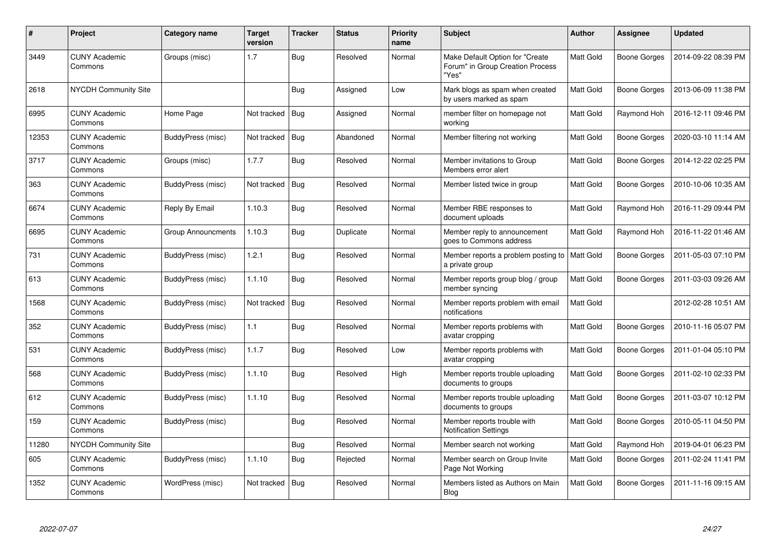| $\#$  | Project                         | Category name      | Target<br>version | <b>Tracker</b> | <b>Status</b> | <b>Priority</b><br>name | <b>Subject</b>                                                               | <b>Author</b> | Assignee            | <b>Updated</b>      |
|-------|---------------------------------|--------------------|-------------------|----------------|---------------|-------------------------|------------------------------------------------------------------------------|---------------|---------------------|---------------------|
| 3449  | <b>CUNY Academic</b><br>Commons | Groups (misc)      | 1.7               | <b>Bug</b>     | Resolved      | Normal                  | Make Default Option for "Create<br>Forum" in Group Creation Process<br>"Yes" | Matt Gold     | <b>Boone Gorges</b> | 2014-09-22 08:39 PM |
| 2618  | <b>NYCDH Community Site</b>     |                    |                   | <b>Bug</b>     | Assigned      | Low                     | Mark blogs as spam when created<br>by users marked as spam                   | Matt Gold     | Boone Gorges        | 2013-06-09 11:38 PM |
| 6995  | <b>CUNY Academic</b><br>Commons | Home Page          | Not tracked       | <b>Bug</b>     | Assigned      | Normal                  | member filter on homepage not<br>working                                     | Matt Gold     | Raymond Hoh         | 2016-12-11 09:46 PM |
| 12353 | <b>CUNY Academic</b><br>Commons | BuddyPress (misc)  | Not tracked       | <b>Bug</b>     | Abandoned     | Normal                  | Member filtering not working                                                 | Matt Gold     | Boone Gorges        | 2020-03-10 11:14 AM |
| 3717  | <b>CUNY Academic</b><br>Commons | Groups (misc)      | 1.7.7             | Bug            | Resolved      | Normal                  | Member invitations to Group<br>Members error alert                           | Matt Gold     | Boone Gorges        | 2014-12-22 02:25 PM |
| 363   | <b>CUNY Academic</b><br>Commons | BuddyPress (misc)  | Not tracked       | <b>Bug</b>     | Resolved      | Normal                  | Member listed twice in group                                                 | Matt Gold     | Boone Gorges        | 2010-10-06 10:35 AM |
| 6674  | <b>CUNY Academic</b><br>Commons | Reply By Email     | 1.10.3            | Bug            | Resolved      | Normal                  | Member RBE responses to<br>document uploads                                  | Matt Gold     | Raymond Hoh         | 2016-11-29 09:44 PM |
| 6695  | <b>CUNY Academic</b><br>Commons | Group Announcments | 1.10.3            | <b>Bug</b>     | Duplicate     | Normal                  | Member reply to announcement<br>goes to Commons address                      | Matt Gold     | Raymond Hoh         | 2016-11-22 01:46 AM |
| 731   | <b>CUNY Academic</b><br>Commons | BuddyPress (misc)  | 1.2.1             | Bug            | Resolved      | Normal                  | Member reports a problem posting to<br>a private group                       | Matt Gold     | Boone Gorges        | 2011-05-03 07:10 PM |
| 613   | <b>CUNY Academic</b><br>Commons | BuddyPress (misc)  | 1.1.10            | <b>Bug</b>     | Resolved      | Normal                  | Member reports group blog / group<br>member syncing                          | Matt Gold     | Boone Gorges        | 2011-03-03 09:26 AM |
| 1568  | <b>CUNY Academic</b><br>Commons | BuddyPress (misc)  | Not tracked       | Bug            | Resolved      | Normal                  | Member reports problem with email<br>notifications                           | Matt Gold     |                     | 2012-02-28 10:51 AM |
| 352   | <b>CUNY Academic</b><br>Commons | BuddyPress (misc)  | 1.1               | <b>Bug</b>     | Resolved      | Normal                  | Member reports problems with<br>avatar cropping                              | Matt Gold     | Boone Gorges        | 2010-11-16 05:07 PM |
| 531   | <b>CUNY Academic</b><br>Commons | BuddyPress (misc)  | 1.1.7             | <b>Bug</b>     | Resolved      | Low                     | Member reports problems with<br>avatar cropping                              | Matt Gold     | Boone Gorges        | 2011-01-04 05:10 PM |
| 568   | <b>CUNY Academic</b><br>Commons | BuddyPress (misc)  | 1.1.10            | Bug            | Resolved      | High                    | Member reports trouble uploading<br>documents to groups                      | Matt Gold     | Boone Gorges        | 2011-02-10 02:33 PM |
| 612   | <b>CUNY Academic</b><br>Commons | BuddyPress (misc)  | 1.1.10            | Bug            | Resolved      | Normal                  | Member reports trouble uploading<br>documents to groups                      | Matt Gold     | Boone Gorges        | 2011-03-07 10:12 PM |
| 159   | <b>CUNY Academic</b><br>Commons | BuddyPress (misc)  |                   | <b>Bug</b>     | Resolved      | Normal                  | Member reports trouble with<br><b>Notification Settings</b>                  | Matt Gold     | Boone Gorges        | 2010-05-11 04:50 PM |
| 11280 | NYCDH Community Site            |                    |                   | <b>Bug</b>     | Resolved      | Normal                  | Member search not working                                                    | Matt Gold     | Raymond Hoh         | 2019-04-01 06:23 PM |
| 605   | <b>CUNY Academic</b><br>Commons | BuddyPress (misc)  | 1.1.10            | <b>Bug</b>     | Rejected      | Normal                  | Member search on Group Invite<br>Page Not Working                            | Matt Gold     | Boone Gorges        | 2011-02-24 11:41 PM |
| 1352  | <b>CUNY Academic</b><br>Commons | WordPress (misc)   | Not tracked       | <b>Bug</b>     | Resolved      | Normal                  | Members listed as Authors on Main<br>Blog                                    | Matt Gold     | Boone Gorges        | 2011-11-16 09:15 AM |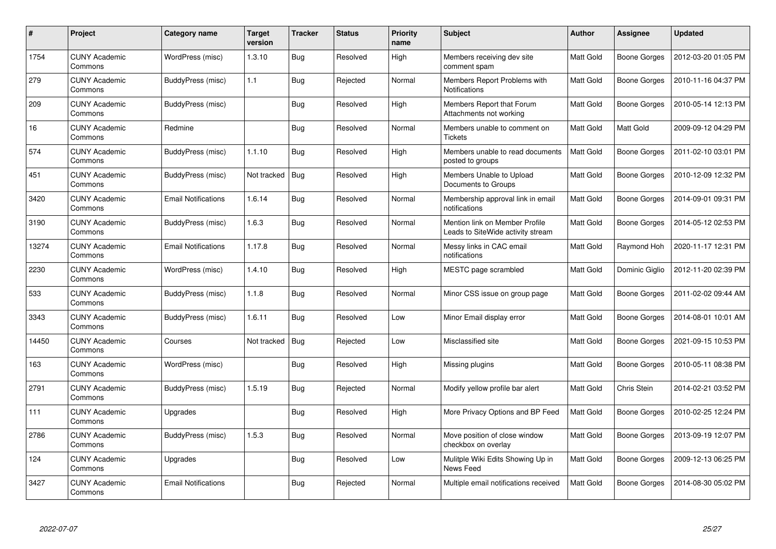| $\#$  | <b>Project</b>                  | Category name              | <b>Target</b><br>version | <b>Tracker</b> | <b>Status</b> | <b>Priority</b><br>name | <b>Subject</b>                                                      | <b>Author</b>    | Assignee            | <b>Updated</b>      |
|-------|---------------------------------|----------------------------|--------------------------|----------------|---------------|-------------------------|---------------------------------------------------------------------|------------------|---------------------|---------------------|
| 1754  | <b>CUNY Academic</b><br>Commons | WordPress (misc)           | 1.3.10                   | <b>Bug</b>     | Resolved      | High                    | Members receiving dev site<br>comment spam                          | <b>Matt Gold</b> | Boone Gorges        | 2012-03-20 01:05 PM |
| 279   | <b>CUNY Academic</b><br>Commons | BuddyPress (misc)          | 1.1                      | Bug            | Rejected      | Normal                  | Members Report Problems with<br>Notifications                       | <b>Matt Gold</b> | <b>Boone Gorges</b> | 2010-11-16 04:37 PM |
| 209   | <b>CUNY Academic</b><br>Commons | BuddyPress (misc)          |                          | Bug            | Resolved      | High                    | Members Report that Forum<br>Attachments not working                | <b>Matt Gold</b> | <b>Boone Gorges</b> | 2010-05-14 12:13 PM |
| 16    | <b>CUNY Academic</b><br>Commons | Redmine                    |                          | <b>Bug</b>     | Resolved      | Normal                  | Members unable to comment on<br><b>Tickets</b>                      | Matt Gold        | Matt Gold           | 2009-09-12 04:29 PM |
| 574   | <b>CUNY Academic</b><br>Commons | BuddyPress (misc)          | 1.1.10                   | Bug            | Resolved      | High                    | Members unable to read documents<br>posted to groups                | Matt Gold        | Boone Gorges        | 2011-02-10 03:01 PM |
| 451   | <b>CUNY Academic</b><br>Commons | BuddyPress (misc)          | Not tracked              | Bug            | Resolved      | High                    | Members Unable to Upload<br>Documents to Groups                     | Matt Gold        | Boone Gorges        | 2010-12-09 12:32 PM |
| 3420  | <b>CUNY Academic</b><br>Commons | <b>Email Notifications</b> | 1.6.14                   | Bug            | Resolved      | Normal                  | Membership approval link in email<br>notifications                  | Matt Gold        | <b>Boone Gorges</b> | 2014-09-01 09:31 PM |
| 3190  | <b>CUNY Academic</b><br>Commons | BuddyPress (misc)          | 1.6.3                    | Bug            | Resolved      | Normal                  | Mention link on Member Profile<br>Leads to SiteWide activity stream | Matt Gold        | Boone Gorges        | 2014-05-12 02:53 PM |
| 13274 | <b>CUNY Academic</b><br>Commons | <b>Email Notifications</b> | 1.17.8                   | Bug            | Resolved      | Normal                  | Messy links in CAC email<br>notifications                           | Matt Gold        | Raymond Hoh         | 2020-11-17 12:31 PM |
| 2230  | <b>CUNY Academic</b><br>Commons | WordPress (misc)           | 1.4.10                   | Bug            | Resolved      | High                    | MESTC page scrambled                                                | <b>Matt Gold</b> | Dominic Giglio      | 2012-11-20 02:39 PM |
| 533   | <b>CUNY Academic</b><br>Commons | BuddyPress (misc)          | 1.1.8                    | Bug            | Resolved      | Normal                  | Minor CSS issue on group page                                       | Matt Gold        | Boone Gorges        | 2011-02-02 09:44 AM |
| 3343  | <b>CUNY Academic</b><br>Commons | BuddyPress (misc)          | 1.6.11                   | Bug            | Resolved      | Low                     | Minor Email display error                                           | Matt Gold        | Boone Gorges        | 2014-08-01 10:01 AM |
| 14450 | <b>CUNY Academic</b><br>Commons | Courses                    | Not tracked              | Bug            | Rejected      | Low                     | Misclassified site                                                  | Matt Gold        | Boone Gorges        | 2021-09-15 10:53 PM |
| 163   | <b>CUNY Academic</b><br>Commons | WordPress (misc)           |                          | Bug            | Resolved      | High                    | Missing plugins                                                     | Matt Gold        | <b>Boone Gorges</b> | 2010-05-11 08:38 PM |
| 2791  | <b>CUNY Academic</b><br>Commons | BuddyPress (misc)          | 1.5.19                   | Bug            | Rejected      | Normal                  | Modify yellow profile bar alert                                     | Matt Gold        | Chris Stein         | 2014-02-21 03:52 PM |
| 111   | <b>CUNY Academic</b><br>Commons | Upgrades                   |                          | <b>Bug</b>     | Resolved      | High                    | More Privacy Options and BP Feed                                    | Matt Gold        | Boone Gorges        | 2010-02-25 12:24 PM |
| 2786  | <b>CUNY Academic</b><br>Commons | BuddyPress (misc)          | 1.5.3                    | Bug            | Resolved      | Normal                  | Move position of close window<br>checkbox on overlay                | Matt Gold        | Boone Gorges        | 2013-09-19 12:07 PM |
| 124   | <b>CUNY Academic</b><br>Commons | Upgrades                   |                          | <b>Bug</b>     | Resolved      | Low                     | Mulitple Wiki Edits Showing Up in<br>News Feed                      | Matt Gold        | Boone Gorges        | 2009-12-13 06:25 PM |
| 3427  | <b>CUNY Academic</b><br>Commons | <b>Email Notifications</b> |                          | Bug            | Rejected      | Normal                  | Multiple email notifications received                               | Matt Gold        | Boone Gorges        | 2014-08-30 05:02 PM |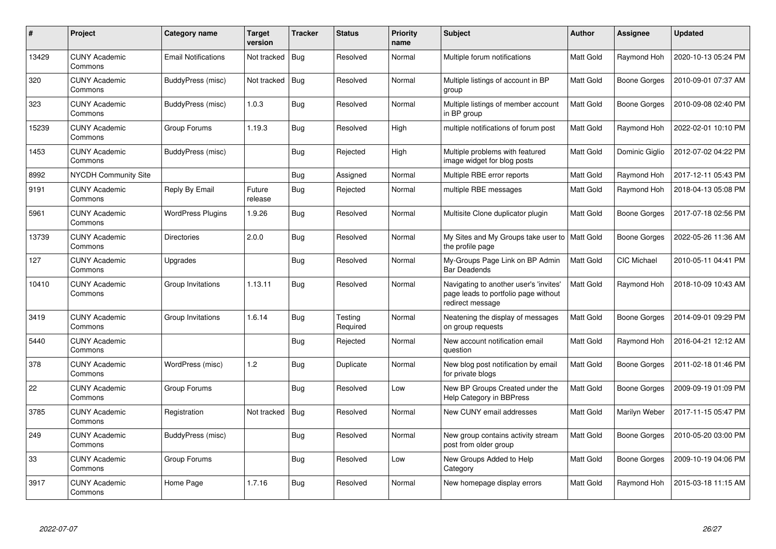| $\#$  | Project                         | Category name              | <b>Target</b><br>version | <b>Tracker</b> | <b>Status</b>       | <b>Priority</b><br>name | <b>Subject</b>                                                                                     | <b>Author</b>    | Assignee            | <b>Updated</b>      |
|-------|---------------------------------|----------------------------|--------------------------|----------------|---------------------|-------------------------|----------------------------------------------------------------------------------------------------|------------------|---------------------|---------------------|
| 13429 | <b>CUNY Academic</b><br>Commons | <b>Email Notifications</b> | Not tracked              | Bug            | Resolved            | Normal                  | Multiple forum notifications                                                                       | <b>Matt Gold</b> | Raymond Hoh         | 2020-10-13 05:24 PM |
| 320   | <b>CUNY Academic</b><br>Commons | BuddyPress (misc)          | Not tracked              | Bug            | Resolved            | Normal                  | Multiple listings of account in BP<br>group                                                        | <b>Matt Gold</b> | <b>Boone Gorges</b> | 2010-09-01 07:37 AM |
| 323   | <b>CUNY Academic</b><br>Commons | BuddyPress (misc)          | 1.0.3                    | Bug            | Resolved            | Normal                  | Multiple listings of member account<br>in BP group                                                 | Matt Gold        | <b>Boone Gorges</b> | 2010-09-08 02:40 PM |
| 15239 | <b>CUNY Academic</b><br>Commons | Group Forums               | 1.19.3                   | <b>Bug</b>     | Resolved            | High                    | multiple notifications of forum post                                                               | Matt Gold        | Raymond Hoh         | 2022-02-01 10:10 PM |
| 1453  | <b>CUNY Academic</b><br>Commons | BuddyPress (misc)          |                          | Bug            | Rejected            | High                    | Multiple problems with featured<br>image widget for blog posts                                     | <b>Matt Gold</b> | Dominic Giglio      | 2012-07-02 04:22 PM |
| 8992  | <b>NYCDH Community Site</b>     |                            |                          | Bug            | Assigned            | Normal                  | Multiple RBE error reports                                                                         | Matt Gold        | Raymond Hoh         | 2017-12-11 05:43 PM |
| 9191  | <b>CUNY Academic</b><br>Commons | <b>Reply By Email</b>      | Future<br>release        | Bug            | Rejected            | Normal                  | multiple RBE messages                                                                              | Matt Gold        | Raymond Hoh         | 2018-04-13 05:08 PM |
| 5961  | <b>CUNY Academic</b><br>Commons | <b>WordPress Plugins</b>   | 1.9.26                   | Bug            | Resolved            | Normal                  | Multisite Clone duplicator plugin                                                                  | Matt Gold        | Boone Gorges        | 2017-07-18 02:56 PM |
| 13739 | <b>CUNY Academic</b><br>Commons | <b>Directories</b>         | 2.0.0                    | Bug            | Resolved            | Normal                  | My Sites and My Groups take user to   Matt Gold<br>the profile page                                |                  | <b>Boone Gorges</b> | 2022-05-26 11:36 AM |
| 127   | <b>CUNY Academic</b><br>Commons | Upgrades                   |                          | <b>Bug</b>     | Resolved            | Normal                  | My-Groups Page Link on BP Admin<br><b>Bar Deadends</b>                                             | Matt Gold        | CIC Michael         | 2010-05-11 04:41 PM |
| 10410 | <b>CUNY Academic</b><br>Commons | Group Invitations          | 1.13.11                  | Bug            | Resolved            | Normal                  | Navigating to another user's 'invites'<br>page leads to portfolio page without<br>redirect message | Matt Gold        | Raymond Hoh         | 2018-10-09 10:43 AM |
| 3419  | <b>CUNY Academic</b><br>Commons | Group Invitations          | 1.6.14                   | Bug            | Testing<br>Required | Normal                  | Neatening the display of messages<br>on group requests                                             | Matt Gold        | <b>Boone Gorges</b> | 2014-09-01 09:29 PM |
| 5440  | <b>CUNY Academic</b><br>Commons |                            |                          | Bug            | Rejected            | Normal                  | New account notification email<br>question                                                         | Matt Gold        | Raymond Hoh         | 2016-04-21 12:12 AM |
| 378   | <b>CUNY Academic</b><br>Commons | WordPress (misc)           | 1.2                      | Bug            | Duplicate           | Normal                  | New blog post notification by email<br>for private blogs                                           | Matt Gold        | Boone Gorges        | 2011-02-18 01:46 PM |
| 22    | <b>CUNY Academic</b><br>Commons | Group Forums               |                          | <b>Bug</b>     | Resolved            | Low                     | New BP Groups Created under the<br><b>Help Category in BBPress</b>                                 | Matt Gold        | Boone Gorges        | 2009-09-19 01:09 PM |
| 3785  | <b>CUNY Academic</b><br>Commons | Registration               | Not tracked              | Bug            | Resolved            | Normal                  | New CUNY email addresses                                                                           | Matt Gold        | Marilyn Weber       | 2017-11-15 05:47 PM |
| 249   | <b>CUNY Academic</b><br>Commons | BuddyPress (misc)          |                          | Bug            | Resolved            | Normal                  | New group contains activity stream<br>post from older group                                        | Matt Gold        | Boone Gorges        | 2010-05-20 03:00 PM |
| 33    | <b>CUNY Academic</b><br>Commons | Group Forums               |                          | Bug            | Resolved            | Low                     | New Groups Added to Help<br>Category                                                               | Matt Gold        | <b>Boone Gorges</b> | 2009-10-19 04:06 PM |
| 3917  | <b>CUNY Academic</b><br>Commons | Home Page                  | 1.7.16                   | <b>Bug</b>     | Resolved            | Normal                  | New homepage display errors                                                                        | Matt Gold        | Raymond Hoh         | 2015-03-18 11:15 AM |